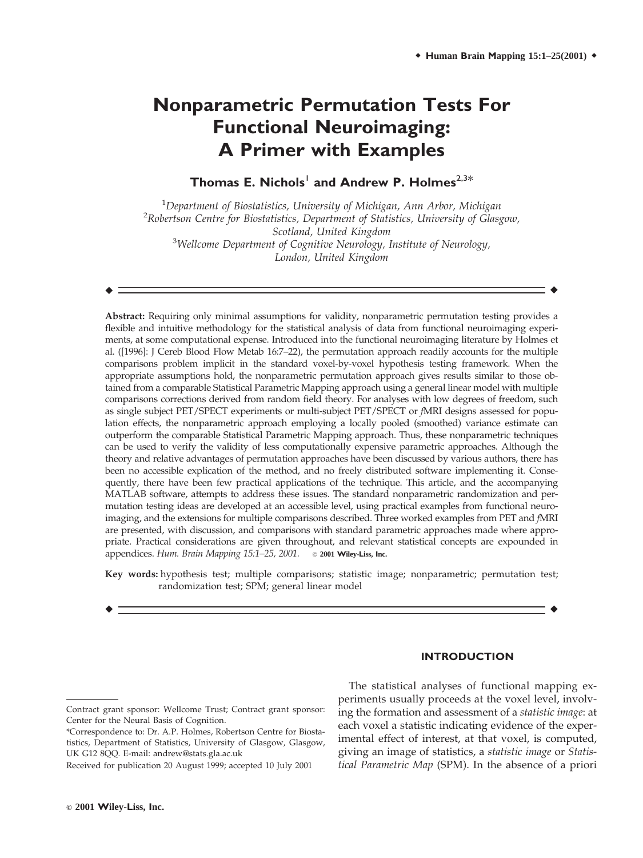# **Nonparametric Permutation Tests For Functional Neuroimaging: A Primer with Examples**

**Thomas E. Nichols**<sup>1</sup> **and Andrew P. Holmes**2,3\*

1 *Department of Biostatistics, University of Michigan, Ann Arbor, Michigan* <sup>2</sup> *Robertson Centre for Biostatistics, Department of Statistics, University of Glasgow, Scotland, United Kingdom* 3 *Wellcome Department of Cognitive Neurology, Institute of Neurology, London, United Kingdom*

r r

**Abstract:** Requiring only minimal assumptions for validity, nonparametric permutation testing provides a flexible and intuitive methodology for the statistical analysis of data from functional neuroimaging experiments, at some computational expense. Introduced into the functional neuroimaging literature by Holmes et al. ([1996]: J Cereb Blood Flow Metab 16:7–22), the permutation approach readily accounts for the multiple comparisons problem implicit in the standard voxel-by-voxel hypothesis testing framework. When the appropriate assumptions hold, the nonparametric permutation approach gives results similar to those obtained from a comparable Statistical Parametric Mapping approach using a general linear model with multiple comparisons corrections derived from random field theory. For analyses with low degrees of freedom, such as single subject PET/SPECT experiments or multi-subject PET/SPECT or *f*MRI designs assessed for population effects, the nonparametric approach employing a locally pooled (smoothed) variance estimate can outperform the comparable Statistical Parametric Mapping approach. Thus, these nonparametric techniques can be used to verify the validity of less computationally expensive parametric approaches. Although the theory and relative advantages of permutation approaches have been discussed by various authors, there has been no accessible explication of the method, and no freely distributed software implementing it. Consequently, there have been few practical applications of the technique. This article, and the accompanying MATLAB software, attempts to address these issues. The standard nonparametric randomization and permutation testing ideas are developed at an accessible level, using practical examples from functional neuroimaging, and the extensions for multiple comparisons described. Three worked examples from PET and *f*MRI are presented, with discussion, and comparisons with standard parametric approaches made where appropriate. Practical considerations are given throughout, and relevant statistical concepts are expounded in appendices. *Hum. Brain Mapping 15:1–25, 2001.* © **2001 Wiley-Liss, Inc.**

**Key words:** hypothesis test; multiple comparisons; statistic image; nonparametric; permutation test; randomization test; SPM; general linear model

 $\blacklozenge$  respectively. The contract of the contract of the contract of the contract of the contract of the contract of the contract of the contract of the contract of the contract of the contract of the contract of the con

## **INTRODUCTION**

The statistical analyses of functional mapping experiments usually proceeds at the voxel level, involving the formation and assessment of a *statistic image*: at each voxel a statistic indicating evidence of the experimental effect of interest, at that voxel, is computed, giving an image of statistics, a *statistic image* or *Statistical Parametric Map* (SPM). In the absence of a priori

Contract grant sponsor: Wellcome Trust; Contract grant sponsor: Center for the Neural Basis of Cognition.

<sup>\*</sup>Correspondence to: Dr. A.P. Holmes, Robertson Centre for Biostatistics, Department of Statistics, University of Glasgow, Glasgow, UK G12 8QQ. E-mail: andrew@stats.gla.ac.uk

Received for publication 20 August 1999; accepted 10 July 2001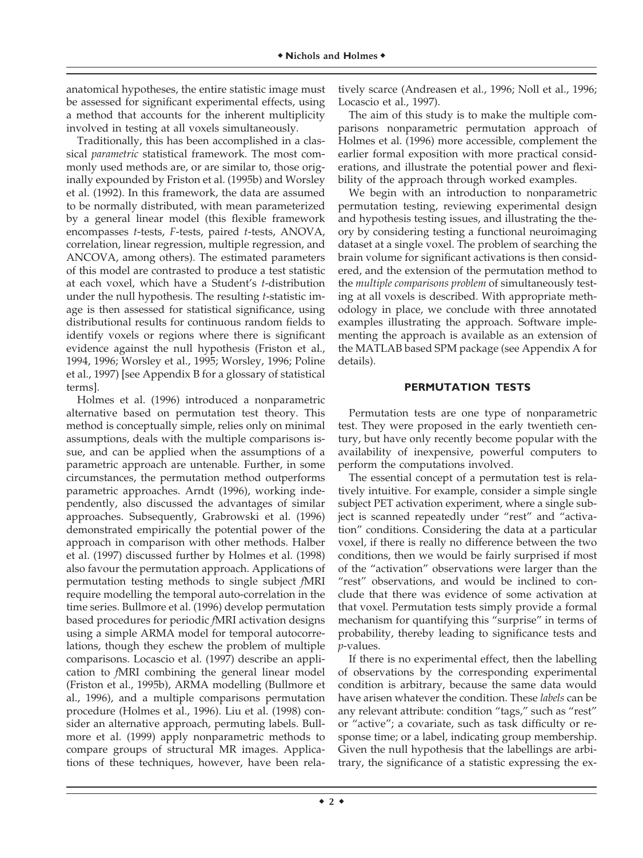anatomical hypotheses, the entire statistic image must be assessed for significant experimental effects, using a method that accounts for the inherent multiplicity involved in testing at all voxels simultaneously.

Traditionally, this has been accomplished in a classical *parametric* statistical framework. The most commonly used methods are, or are similar to, those originally expounded by Friston et al. (1995b) and Worsley et al. (1992). In this framework, the data are assumed to be normally distributed, with mean parameterized by a general linear model (this flexible framework encompasses *t*-tests, *F*-tests, paired *t*-tests, ANOVA, correlation, linear regression, multiple regression, and ANCOVA, among others). The estimated parameters of this model are contrasted to produce a test statistic at each voxel, which have a Student's *t*-distribution under the null hypothesis. The resulting *t*-statistic image is then assessed for statistical significance, using distributional results for continuous random fields to identify voxels or regions where there is significant evidence against the null hypothesis (Friston et al., 1994, 1996; Worsley et al., 1995; Worsley, 1996; Poline et al., 1997) [see Appendix B for a glossary of statistical terms].

Holmes et al. (1996) introduced a nonparametric alternative based on permutation test theory. This method is conceptually simple, relies only on minimal assumptions, deals with the multiple comparisons issue, and can be applied when the assumptions of a parametric approach are untenable. Further, in some circumstances, the permutation method outperforms parametric approaches. Arndt (1996), working independently, also discussed the advantages of similar approaches. Subsequently, Grabrowski et al. (1996) demonstrated empirically the potential power of the approach in comparison with other methods. Halber et al. (1997) discussed further by Holmes et al. (1998) also favour the permutation approach. Applications of permutation testing methods to single subject *f*MRI require modelling the temporal auto-correlation in the time series. Bullmore et al. (1996) develop permutation based procedures for periodic *f*MRI activation designs using a simple ARMA model for temporal autocorrelations, though they eschew the problem of multiple comparisons. Locascio et al. (1997) describe an application to *f*MRI combining the general linear model (Friston et al., 1995b), ARMA modelling (Bullmore et al., 1996), and a multiple comparisons permutation procedure (Holmes et al., 1996). Liu et al. (1998) consider an alternative approach, permuting labels. Bullmore et al. (1999) apply nonparametric methods to compare groups of structural MR images. Applications of these techniques, however, have been relatively scarce (Andreasen et al., 1996; Noll et al., 1996; Locascio et al., 1997).

The aim of this study is to make the multiple comparisons nonparametric permutation approach of Holmes et al. (1996) more accessible, complement the earlier formal exposition with more practical considerations, and illustrate the potential power and flexibility of the approach through worked examples.

We begin with an introduction to nonparametric permutation testing, reviewing experimental design and hypothesis testing issues, and illustrating the theory by considering testing a functional neuroimaging dataset at a single voxel. The problem of searching the brain volume for significant activations is then considered, and the extension of the permutation method to the *multiple comparisons problem* of simultaneously testing at all voxels is described. With appropriate methodology in place, we conclude with three annotated examples illustrating the approach. Software implementing the approach is available as an extension of the MATLAB based SPM package (see Appendix A for details).

#### **PERMUTATION TESTS**

Permutation tests are one type of nonparametric test. They were proposed in the early twentieth century, but have only recently become popular with the availability of inexpensive, powerful computers to perform the computations involved.

The essential concept of a permutation test is relatively intuitive. For example, consider a simple single subject PET activation experiment, where a single subject is scanned repeatedly under "rest" and "activation" conditions. Considering the data at a particular voxel, if there is really no difference between the two conditions, then we would be fairly surprised if most of the "activation" observations were larger than the "rest" observations, and would be inclined to conclude that there was evidence of some activation at that voxel. Permutation tests simply provide a formal mechanism for quantifying this "surprise" in terms of probability, thereby leading to significance tests and *p*-values.

If there is no experimental effect, then the labelling of observations by the corresponding experimental condition is arbitrary, because the same data would have arisen whatever the condition. These *labels* can be any relevant attribute: condition "tags," such as "rest" or "active"; a covariate, such as task difficulty or response time; or a label, indicating group membership. Given the null hypothesis that the labellings are arbitrary, the significance of a statistic expressing the ex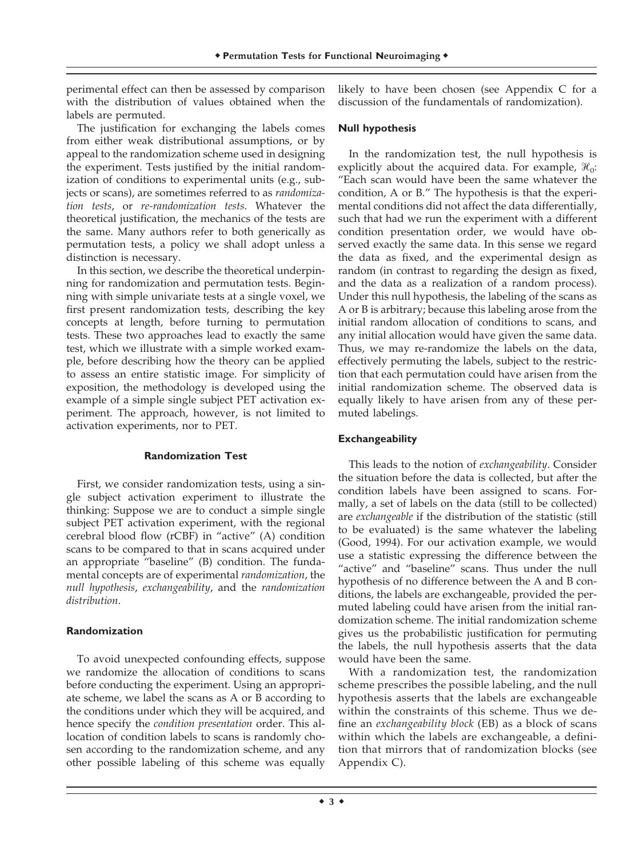perimental effect can then be assessed by comparison with the distribution of values obtained when the labels are permuted.

The justification for exchanging the labels comes from either weak distributional assumptions, or by appeal to the randomization scheme used in designing the experiment. Tests justified by the initial randomization of conditions to experimental units (e.g., subjects or scans), are sometimes referred to as *randomization tests*, or *re-randomization tests*. Whatever the theoretical justification, the mechanics of the tests are the same. Many authors refer to both generically as permutation tests, a policy we shall adopt unless a distinction is necessary.

In this section, we describe the theoretical underpinning for randomization and permutation tests. Beginning with simple univariate tests at a single voxel, we first present randomization tests, describing the key concepts at length, before turning to permutation tests. These two approaches lead to exactly the same test, which we illustrate with a simple worked example, before describing how the theory can be applied to assess an entire statistic image. For simplicity of exposition, the methodology is developed using the example of a simple single subject PET activation experiment. The approach, however, is not limited to activation experiments, nor to PET.

## **Randomization Test**

First, we consider randomization tests, using a single subject activation experiment to illustrate the thinking: Suppose we are to conduct a simple single subject PET activation experiment, with the regional cerebral blood flow (rCBF) in "active" (A) condition scans to be compared to that in scans acquired under an appropriate "baseline" (B) condition. The fundamental concepts are of experimental *randomization*, the *null hypothesis*, *exchangeability*, and the *randomization distribution*.

## **Randomization**

To avoid unexpected confounding effects, suppose we randomize the allocation of conditions to scans before conducting the experiment. Using an appropriate scheme, we label the scans as A or B according to the conditions under which they will be acquired, and hence specify the *condition presentation* order. This allocation of condition labels to scans is randomly chosen according to the randomization scheme, and any other possible labeling of this scheme was equally likely to have been chosen (see Appendix C for a discussion of the fundamentals of randomization).

#### **Null hypothesis**

In the randomization test, the null hypothesis is explicitly about the acquired data. For example,  $\mathcal{H}_0$ : "Each scan would have been the same whatever the condition, A or B." The hypothesis is that the experimental conditions did not affect the data differentially, such that had we run the experiment with a different condition presentation order, we would have observed exactly the same data. In this sense we regard the data as fixed, and the experimental design as random (in contrast to regarding the design as fixed, and the data as a realization of a random process). Under this null hypothesis, the labeling of the scans as A or B is arbitrary; because this labeling arose from the initial random allocation of conditions to scans, and any initial allocation would have given the same data. Thus, we may re-randomize the labels on the data, effectively permuting the labels, subject to the restriction that each permutation could have arisen from the initial randomization scheme. The observed data is equally likely to have arisen from any of these permuted labelings.

## **Exchangeability**

This leads to the notion of *exchangeability*. Consider the situation before the data is collected, but after the condition labels have been assigned to scans. Formally, a set of labels on the data (still to be collected) are *exchangeable* if the distribution of the statistic (still to be evaluated) is the same whatever the labeling (Good, 1994). For our activation example, we would use a statistic expressing the difference between the "active" and "baseline" scans. Thus under the null hypothesis of no difference between the A and B conditions, the labels are exchangeable, provided the permuted labeling could have arisen from the initial randomization scheme. The initial randomization scheme gives us the probabilistic justification for permuting the labels, the null hypothesis asserts that the data would have been the same.

With a randomization test, the randomization scheme prescribes the possible labeling, and the null hypothesis asserts that the labels are exchangeable within the constraints of this scheme. Thus we define an *exchangeability block* (EB) as a block of scans within which the labels are exchangeable, a definition that mirrors that of randomization blocks (see Appendix C).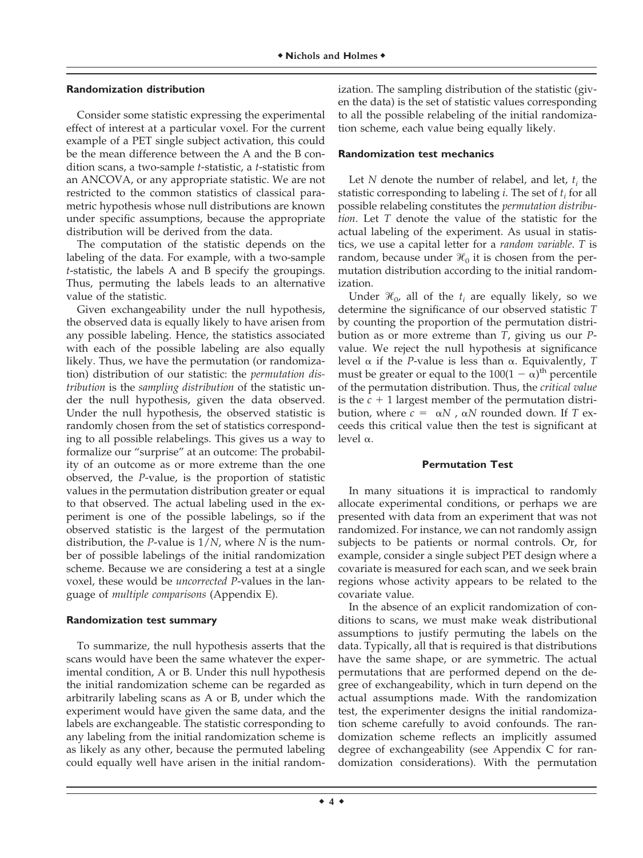#### **Randomization distribution**

Consider some statistic expressing the experimental effect of interest at a particular voxel. For the current example of a PET single subject activation, this could be the mean difference between the A and the B condition scans, a two-sample *t*-statistic, a *t*-statistic from an ANCOVA, or any appropriate statistic. We are not restricted to the common statistics of classical parametric hypothesis whose null distributions are known under specific assumptions, because the appropriate distribution will be derived from the data.

The computation of the statistic depends on the labeling of the data. For example, with a two-sample *t*-statistic, the labels A and B specify the groupings. Thus, permuting the labels leads to an alternative value of the statistic.

Given exchangeability under the null hypothesis, the observed data is equally likely to have arisen from any possible labeling. Hence, the statistics associated with each of the possible labeling are also equally likely. Thus, we have the permutation (or randomization) distribution of our statistic: the *permutation distribution* is the *sampling distribution* of the statistic under the null hypothesis, given the data observed. Under the null hypothesis, the observed statistic is randomly chosen from the set of statistics corresponding to all possible relabelings. This gives us a way to formalize our "surprise" at an outcome: The probability of an outcome as or more extreme than the one observed, the *P*-value, is the proportion of statistic values in the permutation distribution greater or equal to that observed. The actual labeling used in the experiment is one of the possible labelings, so if the observed statistic is the largest of the permutation distribution, the *P*-value is 1/*N*, where *N* is the number of possible labelings of the initial randomization scheme. Because we are considering a test at a single voxel, these would be *uncorrected P*-values in the language of *multiple comparisons* (Appendix E).

#### **Randomization test summary**

To summarize, the null hypothesis asserts that the scans would have been the same whatever the experimental condition, A or B. Under this null hypothesis the initial randomization scheme can be regarded as arbitrarily labeling scans as A or B, under which the experiment would have given the same data, and the labels are exchangeable. The statistic corresponding to any labeling from the initial randomization scheme is as likely as any other, because the permuted labeling could equally well have arisen in the initial randomization. The sampling distribution of the statistic (given the data) is the set of statistic values corresponding to all the possible relabeling of the initial randomization scheme, each value being equally likely.

#### **Randomization test mechanics**

Let *N* denote the number of relabel, and let,  $t_i$  the statistic corresponding to labeling *i*. The set of  $t_i$  for all possible relabeling constitutes the *permutation distribution*. Let *T* denote the value of the statistic for the actual labeling of the experiment. As usual in statistics, we use a capital letter for a *random variable*. *T* is random, because under  $\mathcal{H}_0$  it is chosen from the permutation distribution according to the initial randomization.

Under  $\mathcal{H}_0$ , all of the  $t_i$  are equally likely, so we determine the significance of our observed statistic *T* by counting the proportion of the permutation distribution as or more extreme than *T*, giving us our *P*value. We reject the null hypothesis at significance level  $\alpha$  if the *P*-value is less than  $\alpha$ . Equivalently, *T* must be greater or equal to the  $100(1 - \alpha)$ <sup>th</sup> percentile of the permutation distribution. Thus, the *critical value* is the  $c + 1$  largest member of the permutation distribution, where  $c = \lfloor \alpha N \rfloor$ ,  $\alpha N$  rounded down. If *T* exceeds this critical value then the test is significant at level  $\alpha$ .

## **Permutation Test**

In many situations it is impractical to randomly allocate experimental conditions, or perhaps we are presented with data from an experiment that was not randomized. For instance, we can not randomly assign subjects to be patients or normal controls. Or, for example, consider a single subject PET design where a covariate is measured for each scan, and we seek brain regions whose activity appears to be related to the covariate value.

In the absence of an explicit randomization of conditions to scans, we must make weak distributional assumptions to justify permuting the labels on the data. Typically, all that is required is that distributions have the same shape, or are symmetric. The actual permutations that are performed depend on the degree of exchangeability, which in turn depend on the actual assumptions made. With the randomization test, the experimenter designs the initial randomization scheme carefully to avoid confounds. The randomization scheme reflects an implicitly assumed degree of exchangeability (see Appendix C for randomization considerations). With the permutation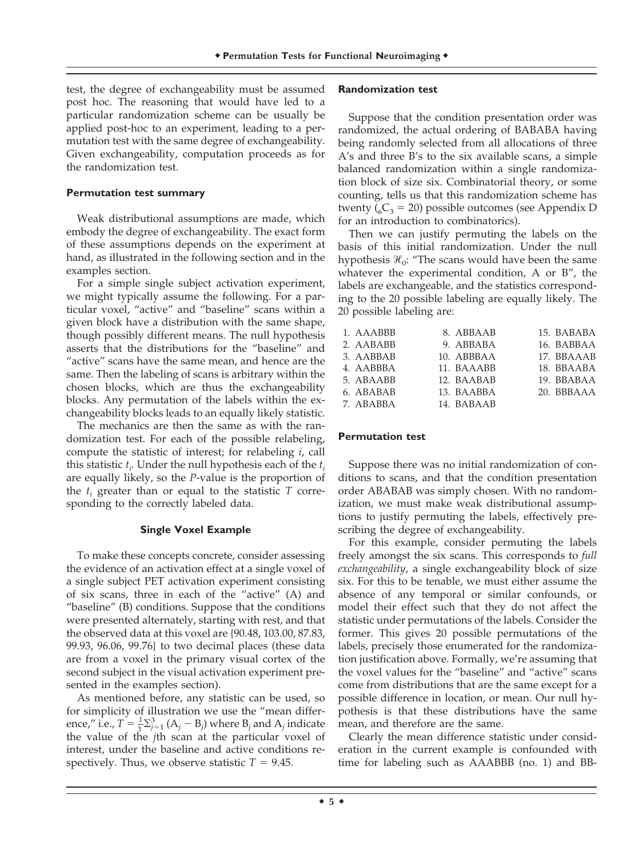test, the degree of exchangeability must be assumed post hoc. The reasoning that would have led to a particular randomization scheme can be usually be applied post-hoc to an experiment, leading to a permutation test with the same degree of exchangeability. Given exchangeability, computation proceeds as for the randomization test.

#### **Permutation test summary**

Weak distributional assumptions are made, which embody the degree of exchangeability. The exact form of these assumptions depends on the experiment at hand, as illustrated in the following section and in the examples section.

For a simple single subject activation experiment, we might typically assume the following. For a particular voxel, "active" and "baseline" scans within a given block have a distribution with the same shape, though possibly different means. The null hypothesis asserts that the distributions for the "baseline" and "active" scans have the same mean, and hence are the same. Then the labeling of scans is arbitrary within the chosen blocks, which are thus the exchangeability blocks. Any permutation of the labels within the exchangeability blocks leads to an equally likely statistic.

The mechanics are then the same as with the randomization test. For each of the possible relabeling, compute the statistic of interest; for relabeling *i*, call this statistic  $t_i$ . Under the null hypothesis each of the  $t_i$ are equally likely, so the *P*-value is the proportion of the  $t_i$  greater than or equal to the statistic  $T$  corresponding to the correctly labeled data.

## **Single Voxel Example**

To make these concepts concrete, consider assessing the evidence of an activation effect at a single voxel of a single subject PET activation experiment consisting of six scans, three in each of the "active" (A) and "baseline" (B) conditions. Suppose that the conditions were presented alternately, starting with rest, and that the observed data at this voxel are {90.48, 103.00, 87.83, 99.93, 96.06, 99.76} to two decimal places (these data are from a voxel in the primary visual cortex of the second subject in the visual activation experiment presented in the examples section).

As mentioned before, any statistic can be used, so for simplicity of illustration we use the "mean difference," i.e.,  $T = \frac{1}{3} \sum_{j=1}^{3} (A_j - B_j)$  where  $B_j$  and  $A_j$  indicate the value of the *j*th scan at the particular voxel of interest, under the baseline and active conditions respectively. Thus, we observe statistic  $T = 9.45$ .

#### **Randomization test**

Suppose that the condition presentation order was randomized, the actual ordering of BABABA having being randomly selected from all allocations of three A's and three B's to the six available scans, a simple balanced randomization within a single randomization block of size six. Combinatorial theory, or some counting, tells us that this randomization scheme has twenty ( $_6C_3$  = 20) possible outcomes (see Appendix D for an introduction to combinatorics).

Then we can justify permuting the labels on the basis of this initial randomization. Under the null hypothesis  $\mathcal{H}_0$ : "The scans would have been the same whatever the experimental condition, A or B", the labels are exchangeable, and the statistics corresponding to the 20 possible labeling are equally likely. The 20 possible labeling are:

| 1. AAABBB | 8. ABBAAB  | 15. BABABA |
|-----------|------------|------------|
| 2. AABABB | 9. ABBABA  | 16. BABBAA |
| 3. AABBAB | 10. ABBBAA | 17. BBAAAB |
| 4. AABBBA | 11. BAAABB | 18. BBAABA |
| 5. ABAABB | 12. BAABAB | 19. BBABAA |
| 6. ABABAB | 13. BAABBA | 20. BBBAAA |
| 7. ABABBA | 14. BABAAB |            |

## **Permutation test**

Suppose there was no initial randomization of conditions to scans, and that the condition presentation order ABABAB was simply chosen. With no randomization, we must make weak distributional assumptions to justify permuting the labels, effectively prescribing the degree of exchangeability.

For this example, consider permuting the labels freely amongst the six scans. This corresponds to *full exchangeability*, a single exchangeability block of size six. For this to be tenable, we must either assume the absence of any temporal or similar confounds, or model their effect such that they do not affect the statistic under permutations of the labels. Consider the former. This gives 20 possible permutations of the labels, precisely those enumerated for the randomization justification above. Formally, we're assuming that the voxel values for the "baseline" and "active" scans come from distributions that are the same except for a possible difference in location, or mean. Our null hypothesis is that these distributions have the same mean, and therefore are the same.

Clearly the mean difference statistic under consideration in the current example is confounded with time for labeling such as AAABBB (no. 1) and BB-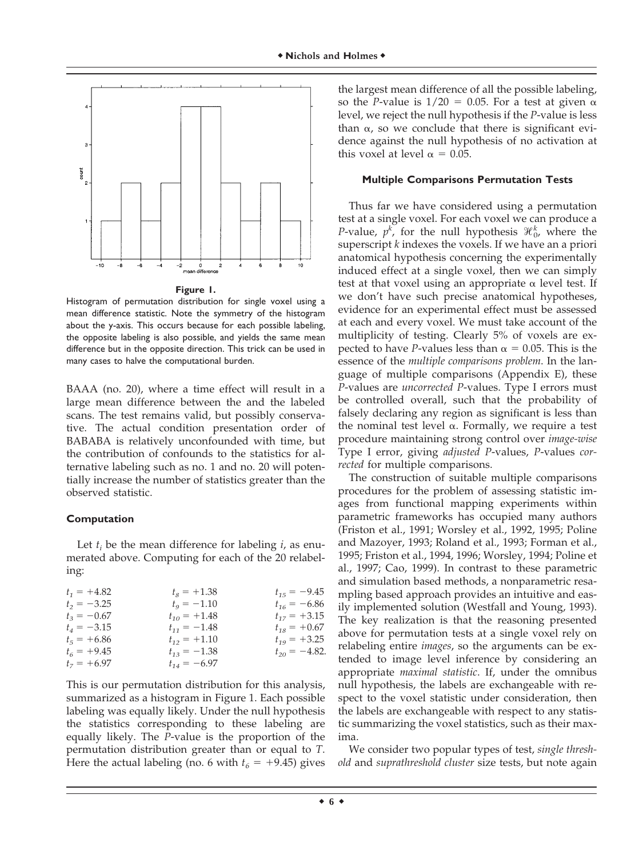

**Figure 1.**

Histogram of permutation distribution for single voxel using a mean difference statistic. Note the symmetry of the histogram about the y-axis. This occurs because for each possible labeling, the opposite labeling is also possible, and yields the same mean difference but in the opposite direction. This trick can be used in many cases to halve the computational burden.

BAAA (no. 20), where a time effect will result in a large mean difference between the and the labeled scans. The test remains valid, but possibly conservative. The actual condition presentation order of BABABA is relatively unconfounded with time, but the contribution of confounds to the statistics for alternative labeling such as no. 1 and no. 20 will potentially increase the number of statistics greater than the observed statistic.

#### **Computation**

Let  $t_i$  be the mean difference for labeling  $i$ , as enumerated above. Computing for each of the 20 relabeling:

| $t_1 = +4.82$   | $t_s = +1.38$       | $t_{15} = -9.45$   |
|-----------------|---------------------|--------------------|
| $t_2 = -3.25$   | $t_{\rm g} = -1.10$ | $t_{16} = -6.86$   |
| $t_{3} = -0.67$ | $t_{10} = +1.48$    | $t_{17} = +3.15$   |
| $t_a = -3.15$   | $t_{11} = -1.48$    | $t_{18} = +0.67$   |
| $t_5 = +6.86$   | $t_{12} = +1.10$    | $t_{19} = +3.25$   |
| $t_{6} = +9.45$ | $t_{13} = -1.38$    | $t_{20} = -4.82$ . |
| $t_7 = +6.97$   | $t_{14} = -6.97$    |                    |

This is our permutation distribution for this analysis, summarized as a histogram in Figure 1. Each possible labeling was equally likely. Under the null hypothesis the statistics corresponding to these labeling are equally likely. The *P*-value is the proportion of the permutation distribution greater than or equal to *T*. Here the actual labeling (no. 6 with  $t_6 = +9.45$ ) gives the largest mean difference of all the possible labeling, so the *P*-value is  $1/20 = 0.05$ . For a test at given  $\alpha$ level, we reject the null hypothesis if the *P*-value is less than  $\alpha$ , so we conclude that there is significant evidence against the null hypothesis of no activation at this voxel at level  $\alpha = 0.05$ .

#### **Multiple Comparisons Permutation Tests**

Thus far we have considered using a permutation test at a single voxel. For each voxel we can produce a *P*-value,  $p^k$ , for the null hypothesis  $\mathcal{H}^k_0$ , where the superscript *k* indexes the voxels. If we have an a priori anatomical hypothesis concerning the experimentally induced effect at a single voxel, then we can simply test at that voxel using an appropriate  $\alpha$  level test. If we don't have such precise anatomical hypotheses, evidence for an experimental effect must be assessed at each and every voxel. We must take account of the multiplicity of testing. Clearly 5% of voxels are expected to have *P*-values less than  $\alpha = 0.05$ . This is the essence of the *multiple comparisons problem*. In the language of multiple comparisons (Appendix E), these *P*-values are *uncorrected P*-values. Type I errors must be controlled overall, such that the probability of falsely declaring any region as significant is less than the nominal test level  $\alpha$ . Formally, we require a test procedure maintaining strong control over *image-wise* Type I error, giving *adjusted P*-values, *P*-values *corrected* for multiple comparisons.

The construction of suitable multiple comparisons procedures for the problem of assessing statistic images from functional mapping experiments within parametric frameworks has occupied many authors (Friston et al., 1991; Worsley et al., 1992, 1995; Poline and Mazoyer, 1993; Roland et al., 1993; Forman et al., 1995; Friston et al., 1994, 1996; Worsley, 1994; Poline et al., 1997; Cao, 1999). In contrast to these parametric and simulation based methods, a nonparametric resampling based approach provides an intuitive and easily implemented solution (Westfall and Young, 1993). The key realization is that the reasoning presented above for permutation tests at a single voxel rely on relabeling entire *images*, so the arguments can be extended to image level inference by considering an appropriate *maximal statistic*. If, under the omnibus null hypothesis, the labels are exchangeable with respect to the voxel statistic under consideration, then the labels are exchangeable with respect to any statistic summarizing the voxel statistics, such as their maxima.

We consider two popular types of test, *single threshold* and *suprathreshold cluster* size tests, but note again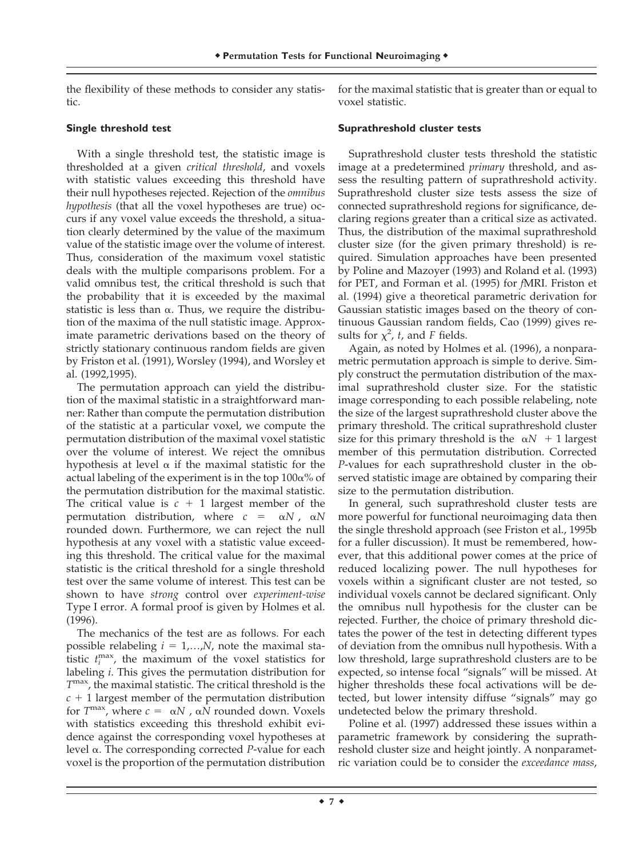the flexibility of these methods to consider any statistic.

#### **Single threshold test**

With a single threshold test, the statistic image is thresholded at a given *critical threshold*, and voxels with statistic values exceeding this threshold have their null hypotheses rejected. Rejection of the *omnibus hypothesis* (that all the voxel hypotheses are true) occurs if any voxel value exceeds the threshold, a situation clearly determined by the value of the maximum value of the statistic image over the volume of interest. Thus, consideration of the maximum voxel statistic deals with the multiple comparisons problem. For a valid omnibus test, the critical threshold is such that the probability that it is exceeded by the maximal statistic is less than  $\alpha$ . Thus, we require the distribution of the maxima of the null statistic image. Approximate parametric derivations based on the theory of strictly stationary continuous random fields are given by Friston et al. (1991), Worsley (1994), and Worsley et al. (1992,1995).

The permutation approach can yield the distribution of the maximal statistic in a straightforward manner: Rather than compute the permutation distribution of the statistic at a particular voxel, we compute the permutation distribution of the maximal voxel statistic over the volume of interest. We reject the omnibus hypothesis at level  $\alpha$  if the maximal statistic for the actual labeling of the experiment is in the top  $100\alpha\%$  of the permutation distribution for the maximal statistic. The critical value is  $c + 1$  largest member of the permutation distribution, where  $c = \lfloor \alpha N \rfloor$ ,  $\alpha N$ rounded down. Furthermore, we can reject the null hypothesis at any voxel with a statistic value exceeding this threshold. The critical value for the maximal statistic is the critical threshold for a single threshold test over the same volume of interest. This test can be shown to have *strong* control over *experiment-wise* Type I error. A formal proof is given by Holmes et al. (1996).

The mechanics of the test are as follows. For each possible relabeling  $i = 1,...,N$ , note the maximal statistic  $t_i^{\text{max}}$ , the maximum of the voxel statistics for labeling *i*. This gives the permutation distribution for *T*max, the maximal statistic. The critical threshold is the  $c + 1$  largest member of the permutation distribution for  $T^{\text{max}}$ , where  $c = \lfloor \alpha N \rfloor$ ,  $\alpha N$  rounded down. Voxels with statistics exceeding this threshold exhibit evidence against the corresponding voxel hypotheses at level a. The corresponding corrected *P*-value for each voxel is the proportion of the permutation distribution

for the maximal statistic that is greater than or equal to voxel statistic.

#### **Suprathreshold cluster tests**

Suprathreshold cluster tests threshold the statistic image at a predetermined *primary* threshold, and assess the resulting pattern of suprathreshold activity. Suprathreshold cluster size tests assess the size of connected suprathreshold regions for significance, declaring regions greater than a critical size as activated. Thus, the distribution of the maximal suprathreshold cluster size (for the given primary threshold) is required. Simulation approaches have been presented by Poline and Mazoyer (1993) and Roland et al. (1993) for PET, and Forman et al. (1995) for *f*MRI. Friston et al. (1994) give a theoretical parametric derivation for Gaussian statistic images based on the theory of continuous Gaussian random fields, Cao (1999) gives results for  $\chi^2$ , *t*, and *F* fields.

Again, as noted by Holmes et al. (1996), a nonparametric permutation approach is simple to derive. Simply construct the permutation distribution of the maximal suprathreshold cluster size. For the statistic image corresponding to each possible relabeling, note the size of the largest suprathreshold cluster above the primary threshold. The critical suprathreshold cluster size for this primary threshold is the  $\lfloor \alpha N \rfloor + 1$  largest member of this permutation distribution. Corrected *P*-values for each suprathreshold cluster in the observed statistic image are obtained by comparing their size to the permutation distribution.

In general, such suprathreshold cluster tests are more powerful for functional neuroimaging data then the single threshold approach (see Friston et al., 1995b for a fuller discussion). It must be remembered, however, that this additional power comes at the price of reduced localizing power. The null hypotheses for voxels within a significant cluster are not tested, so individual voxels cannot be declared significant. Only the omnibus null hypothesis for the cluster can be rejected. Further, the choice of primary threshold dictates the power of the test in detecting different types of deviation from the omnibus null hypothesis. With a low threshold, large suprathreshold clusters are to be expected, so intense focal "signals" will be missed. At higher thresholds these focal activations will be detected, but lower intensity diffuse "signals" may go undetected below the primary threshold.

Poline et al. (1997) addressed these issues within a parametric framework by considering the suprathreshold cluster size and height jointly. A nonparametric variation could be to consider the *exceedance mass*,

 $\div$  7  $\div$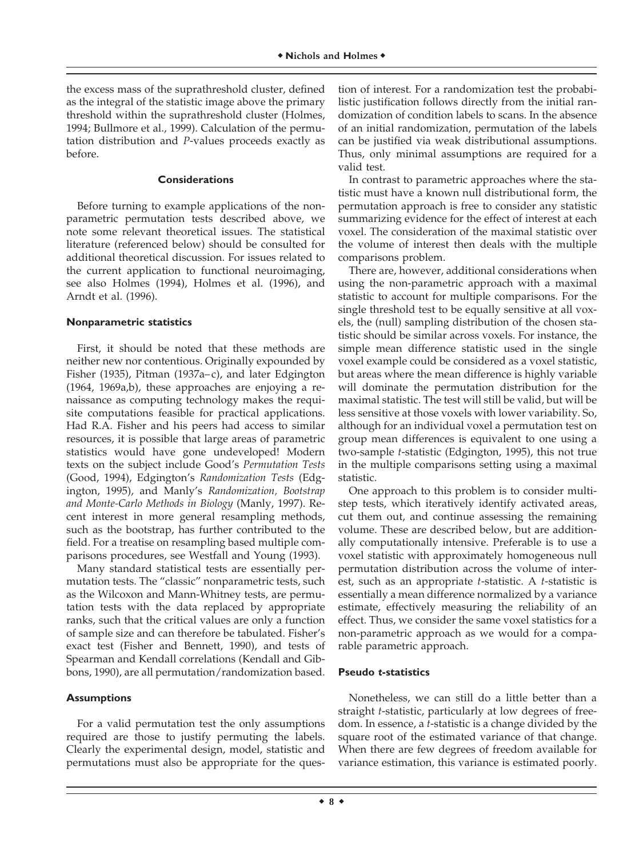the excess mass of the suprathreshold cluster, defined as the integral of the statistic image above the primary threshold within the suprathreshold cluster (Holmes, 1994; Bullmore et al., 1999). Calculation of the permutation distribution and *P*-values proceeds exactly as before.

#### **Considerations**

Before turning to example applications of the nonparametric permutation tests described above, we note some relevant theoretical issues. The statistical literature (referenced below) should be consulted for additional theoretical discussion. For issues related to the current application to functional neuroimaging, see also Holmes (1994), Holmes et al. (1996), and Arndt et al. (1996).

## **Nonparametric statistics**

First, it should be noted that these methods are neither new nor contentious. Originally expounded by Fisher (1935), Pitman (1937a–c), and later Edgington (1964, 1969a,b), these approaches are enjoying a renaissance as computing technology makes the requisite computations feasible for practical applications. Had R.A. Fisher and his peers had access to similar resources, it is possible that large areas of parametric statistics would have gone undeveloped! Modern texts on the subject include Good's *Permutation Tests* (Good, 1994), Edgington's *Randomization Tests* (Edgington, 1995), and Manly's *Randomization, Bootstrap and Monte-Carlo Methods in Biology* (Manly, 1997). Recent interest in more general resampling methods, such as the bootstrap, has further contributed to the field. For a treatise on resampling based multiple comparisons procedures, see Westfall and Young (1993).

Many standard statistical tests are essentially permutation tests. The "classic" nonparametric tests, such as the Wilcoxon and Mann-Whitney tests, are permutation tests with the data replaced by appropriate ranks, such that the critical values are only a function of sample size and can therefore be tabulated. Fisher's exact test (Fisher and Bennett, 1990), and tests of Spearman and Kendall correlations (Kendall and Gibbons, 1990), are all permutation/randomization based.

## **Assumptions**

For a valid permutation test the only assumptions required are those to justify permuting the labels. Clearly the experimental design, model, statistic and permutations must also be appropriate for the question of interest. For a randomization test the probabilistic justification follows directly from the initial randomization of condition labels to scans. In the absence of an initial randomization, permutation of the labels can be justified via weak distributional assumptions. Thus, only minimal assumptions are required for a valid test.

In contrast to parametric approaches where the statistic must have a known null distributional form, the permutation approach is free to consider any statistic summarizing evidence for the effect of interest at each voxel. The consideration of the maximal statistic over the volume of interest then deals with the multiple comparisons problem.

There are, however, additional considerations when using the non-parametric approach with a maximal statistic to account for multiple comparisons. For the single threshold test to be equally sensitive at all voxels, the (null) sampling distribution of the chosen statistic should be similar across voxels. For instance, the simple mean difference statistic used in the single voxel example could be considered as a voxel statistic, but areas where the mean difference is highly variable will dominate the permutation distribution for the maximal statistic. The test will still be valid, but will be less sensitive at those voxels with lower variability. So, although for an individual voxel a permutation test on group mean differences is equivalent to one using a two-sample *t*-statistic (Edgington, 1995), this not true in the multiple comparisons setting using a maximal statistic.

One approach to this problem is to consider multistep tests, which iteratively identify activated areas, cut them out, and continue assessing the remaining volume. These are described below, but are additionally computationally intensive. Preferable is to use a voxel statistic with approximately homogeneous null permutation distribution across the volume of interest, such as an appropriate *t*-statistic. A *t*-statistic is essentially a mean difference normalized by a variance estimate, effectively measuring the reliability of an effect. Thus, we consider the same voxel statistics for a non-parametric approach as we would for a comparable parametric approach.

## **Pseudo** *t***-statistics**

Nonetheless, we can still do a little better than a straight *t*-statistic, particularly at low degrees of freedom. In essence, a *t*-statistic is a change divided by the square root of the estimated variance of that change. When there are few degrees of freedom available for variance estimation, this variance is estimated poorly.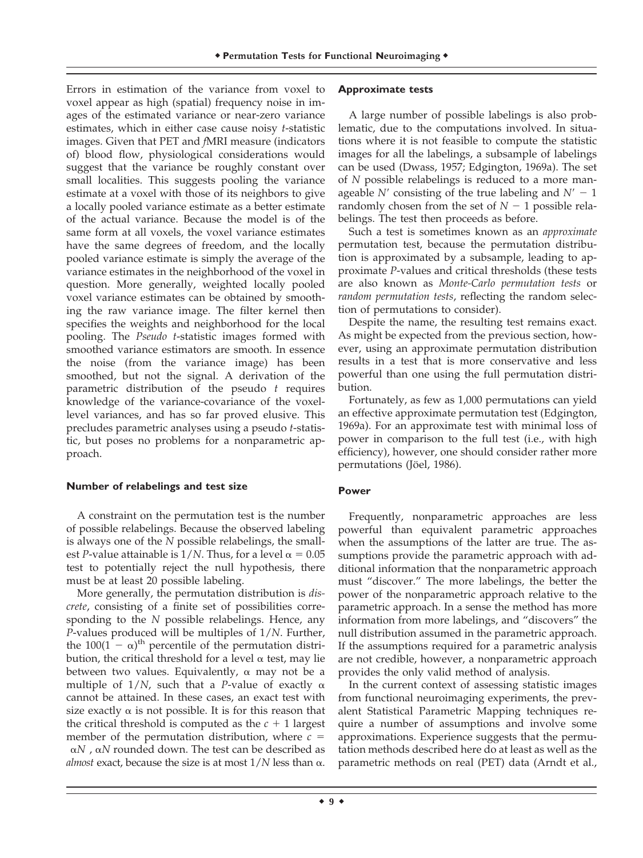Errors in estimation of the variance from voxel to voxel appear as high (spatial) frequency noise in images of the estimated variance or near-zero variance estimates, which in either case cause noisy *t*-statistic images. Given that PET and *f*MRI measure (indicators of) blood flow, physiological considerations would suggest that the variance be roughly constant over small localities. This suggests pooling the variance estimate at a voxel with those of its neighbors to give a locally pooled variance estimate as a better estimate of the actual variance. Because the model is of the same form at all voxels, the voxel variance estimates have the same degrees of freedom, and the locally pooled variance estimate is simply the average of the variance estimates in the neighborhood of the voxel in question. More generally, weighted locally pooled voxel variance estimates can be obtained by smoothing the raw variance image. The filter kernel then specifies the weights and neighborhood for the local pooling. The *Pseudo t*-statistic images formed with smoothed variance estimators are smooth. In essence the noise (from the variance image) has been smoothed, but not the signal. A derivation of the parametric distribution of the pseudo *t* requires knowledge of the variance-covariance of the voxellevel variances, and has so far proved elusive. This precludes parametric analyses using a pseudo *t*-statistic, but poses no problems for a nonparametric approach.

#### **Number of relabelings and test size**

A constraint on the permutation test is the number of possible relabelings. Because the observed labeling is always one of the *N* possible relabelings, the smallest *P*-value attainable is  $1/N$ . Thus, for a level  $\alpha = 0.05$ test to potentially reject the null hypothesis, there must be at least 20 possible labeling.

More generally, the permutation distribution is *discrete*, consisting of a finite set of possibilities corresponding to the *N* possible relabelings. Hence, any *P*-values produced will be multiples of 1/*N*. Further, the 100(1 –  $\alpha$ )<sup>th</sup> percentile of the permutation distribution, the critical threshold for a level  $\alpha$  test, may lie between two values. Equivalently,  $\alpha$  may not be a multiple of  $1/N$ , such that a *P*-value of exactly  $\alpha$ cannot be attained. In these cases, an exact test with size exactly  $\alpha$  is not possible. It is for this reason that the critical threshold is computed as the  $c + 1$  largest member of the permutation distribution, where  $c =$  $\lfloor \alpha N \rfloor$ ,  $\alpha N$  rounded down. The test can be described as *almost* exact, because the size is at most  $1/N$  less than  $\alpha$ .

#### **Approximate tests**

A large number of possible labelings is also problematic, due to the computations involved. In situations where it is not feasible to compute the statistic images for all the labelings, a subsample of labelings can be used (Dwass, 1957; Edgington, 1969a). The set of *N* possible relabelings is reduced to a more manageable *N'* consisting of the true labeling and  $N' - 1$ randomly chosen from the set of  $N - 1$  possible relabelings. The test then proceeds as before.

Such a test is sometimes known as an *approximate* permutation test, because the permutation distribution is approximated by a subsample, leading to approximate *P*-values and critical thresholds (these tests are also known as *Monte-Carlo permutation tests* or *random permutation tests*, reflecting the random selection of permutations to consider).

Despite the name, the resulting test remains exact. As might be expected from the previous section, however, using an approximate permutation distribution results in a test that is more conservative and less powerful than one using the full permutation distribution.

Fortunately, as few as 1,000 permutations can yield an effective approximate permutation test (Edgington, 1969a). For an approximate test with minimal loss of power in comparison to the full test (i.e., with high efficiency), however, one should consider rather more permutations (Jöel, 1986).

#### **Power**

Frequently, nonparametric approaches are less powerful than equivalent parametric approaches when the assumptions of the latter are true. The assumptions provide the parametric approach with additional information that the nonparametric approach must "discover." The more labelings, the better the power of the nonparametric approach relative to the parametric approach. In a sense the method has more information from more labelings, and "discovers" the null distribution assumed in the parametric approach. If the assumptions required for a parametric analysis are not credible, however, a nonparametric approach provides the only valid method of analysis.

In the current context of assessing statistic images from functional neuroimaging experiments, the prevalent Statistical Parametric Mapping techniques require a number of assumptions and involve some approximations. Experience suggests that the permutation methods described here do at least as well as the parametric methods on real (PET) data (Arndt et al.,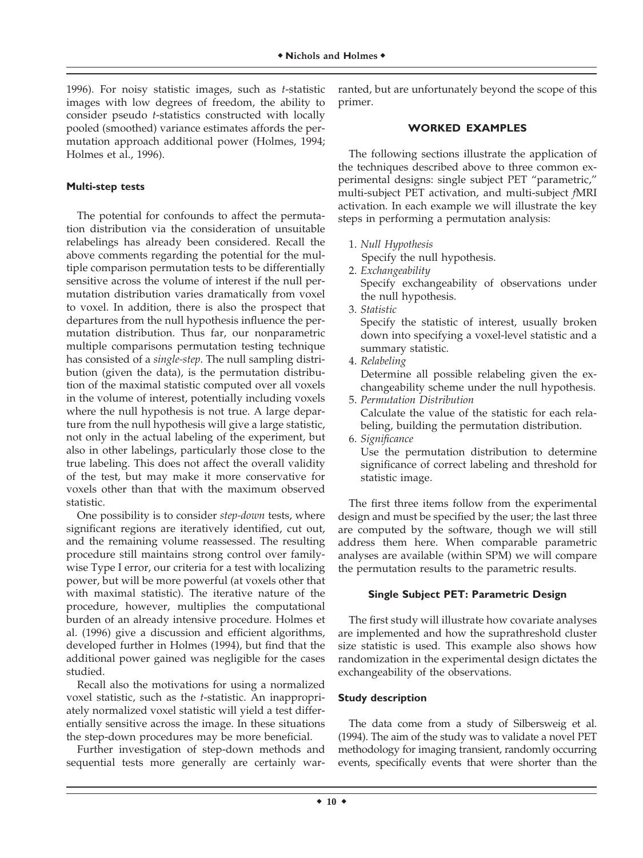1996). For noisy statistic images, such as *t*-statistic images with low degrees of freedom, the ability to consider pseudo *t*-statistics constructed with locally pooled (smoothed) variance estimates affords the permutation approach additional power (Holmes, 1994; Holmes et al., 1996).

#### **Multi-step tests**

The potential for confounds to affect the permutation distribution via the consideration of unsuitable relabelings has already been considered. Recall the above comments regarding the potential for the multiple comparison permutation tests to be differentially sensitive across the volume of interest if the null permutation distribution varies dramatically from voxel to voxel. In addition, there is also the prospect that departures from the null hypothesis influence the permutation distribution. Thus far, our nonparametric multiple comparisons permutation testing technique has consisted of a *single-step*. The null sampling distribution (given the data), is the permutation distribution of the maximal statistic computed over all voxels in the volume of interest, potentially including voxels where the null hypothesis is not true. A large departure from the null hypothesis will give a large statistic, not only in the actual labeling of the experiment, but also in other labelings, particularly those close to the true labeling. This does not affect the overall validity of the test, but may make it more conservative for voxels other than that with the maximum observed statistic.

One possibility is to consider *step-down* tests, where significant regions are iteratively identified, cut out, and the remaining volume reassessed. The resulting procedure still maintains strong control over familywise Type I error, our criteria for a test with localizing power, but will be more powerful (at voxels other that with maximal statistic). The iterative nature of the procedure, however, multiplies the computational burden of an already intensive procedure. Holmes et al. (1996) give a discussion and efficient algorithms, developed further in Holmes (1994), but find that the additional power gained was negligible for the cases studied.

Recall also the motivations for using a normalized voxel statistic, such as the *t*-statistic. An inappropriately normalized voxel statistic will yield a test differentially sensitive across the image. In these situations the step-down procedures may be more beneficial.

Further investigation of step-down methods and sequential tests more generally are certainly warranted, but are unfortunately beyond the scope of this primer.

#### **WORKED EXAMPLES**

The following sections illustrate the application of the techniques described above to three common experimental designs: single subject PET "parametric," multi-subject PET activation, and multi-subject *f*MRI activation. In each example we will illustrate the key steps in performing a permutation analysis:

1. *Null Hypothesis*

Specify the null hypothesis.

- 2. *Exchangeability* Specify exchangeability of observations under the null hypothesis.
- 3. *Statistic*

Specify the statistic of interest, usually broken down into specifying a voxel-level statistic and a summary statistic.

4. *Relabeling*

Determine all possible relabeling given the exchangeability scheme under the null hypothesis.

5. *Permutation Distribution* Calculate the value of the statistic for each relabeling, building the permutation distribution.

6. *Significance*

Use the permutation distribution to determine significance of correct labeling and threshold for statistic image.

The first three items follow from the experimental design and must be specified by the user; the last three are computed by the software, though we will still address them here. When comparable parametric analyses are available (within SPM) we will compare the permutation results to the parametric results.

## **Single Subject PET: Parametric Design**

The first study will illustrate how covariate analyses are implemented and how the suprathreshold cluster size statistic is used. This example also shows how randomization in the experimental design dictates the exchangeability of the observations.

## **Study description**

The data come from a study of Silbersweig et al. (1994). The aim of the study was to validate a novel PET methodology for imaging transient, randomly occurring events, specifically events that were shorter than the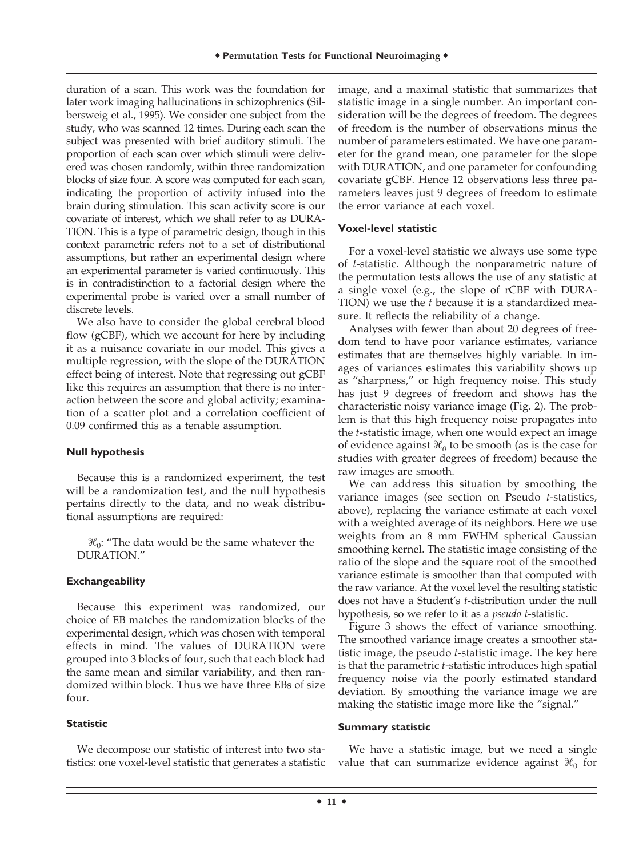duration of a scan. This work was the foundation for later work imaging hallucinations in schizophrenics (Silbersweig et al., 1995). We consider one subject from the study, who was scanned 12 times. During each scan the subject was presented with brief auditory stimuli. The proportion of each scan over which stimuli were delivered was chosen randomly, within three randomization blocks of size four. A score was computed for each scan, indicating the proportion of activity infused into the brain during stimulation. This scan activity score is our covariate of interest, which we shall refer to as DURA-TION. This is a type of parametric design, though in this context parametric refers not to a set of distributional assumptions, but rather an experimental design where an experimental parameter is varied continuously. This is in contradistinction to a factorial design where the experimental probe is varied over a small number of discrete levels.

We also have to consider the global cerebral blood flow (gCBF), which we account for here by including it as a nuisance covariate in our model. This gives a multiple regression, with the slope of the DURATION effect being of interest. Note that regressing out gCBF like this requires an assumption that there is no interaction between the score and global activity; examination of a scatter plot and a correlation coefficient of 0.09 confirmed this as a tenable assumption.

## **Null hypothesis**

Because this is a randomized experiment, the test will be a randomization test, and the null hypothesis pertains directly to the data, and no weak distributional assumptions are required:

 $\mathcal{H}_0$ : "The data would be the same whatever the DURATION."

## **Exchangeability**

Because this experiment was randomized, our choice of EB matches the randomization blocks of the experimental design, which was chosen with temporal effects in mind. The values of DURATION were grouped into 3 blocks of four, such that each block had the same mean and similar variability, and then randomized within block. Thus we have three EBs of size four.

## **Statistic**

We decompose our statistic of interest into two statistics: one voxel-level statistic that generates a statistic image, and a maximal statistic that summarizes that statistic image in a single number. An important consideration will be the degrees of freedom. The degrees of freedom is the number of observations minus the number of parameters estimated. We have one parameter for the grand mean, one parameter for the slope with DURATION, and one parameter for confounding covariate gCBF. Hence 12 observations less three parameters leaves just 9 degrees of freedom to estimate the error variance at each voxel.

## **Voxel-level statistic**

For a voxel-level statistic we always use some type of *t*-statistic. Although the nonparametric nature of the permutation tests allows the use of any statistic at a single voxel (e.g., the slope of rCBF with DURA-TION) we use the *t* because it is a standardized measure. It reflects the reliability of a change.

Analyses with fewer than about 20 degrees of freedom tend to have poor variance estimates, variance estimates that are themselves highly variable. In images of variances estimates this variability shows up as "sharpness," or high frequency noise. This study has just 9 degrees of freedom and shows has the characteristic noisy variance image (Fig. 2). The problem is that this high frequency noise propagates into the *t*-statistic image, when one would expect an image of evidence against  $\mathcal{H}_0$  to be smooth (as is the case for studies with greater degrees of freedom) because the raw images are smooth.

We can address this situation by smoothing the variance images (see section on Pseudo *t*-statistics, above), replacing the variance estimate at each voxel with a weighted average of its neighbors. Here we use weights from an 8 mm FWHM spherical Gaussian smoothing kernel. The statistic image consisting of the ratio of the slope and the square root of the smoothed variance estimate is smoother than that computed with the raw variance. At the voxel level the resulting statistic does not have a Student's *t*-distribution under the null hypothesis, so we refer to it as a *pseudo t*-statistic.

Figure 3 shows the effect of variance smoothing. The smoothed variance image creates a smoother statistic image, the pseudo *t*-statistic image. The key here is that the parametric *t*-statistic introduces high spatial frequency noise via the poorly estimated standard deviation. By smoothing the variance image we are making the statistic image more like the "signal."

## **Summary statistic**

We have a statistic image, but we need a single value that can summarize evidence against  $\mathcal{H}_0$  for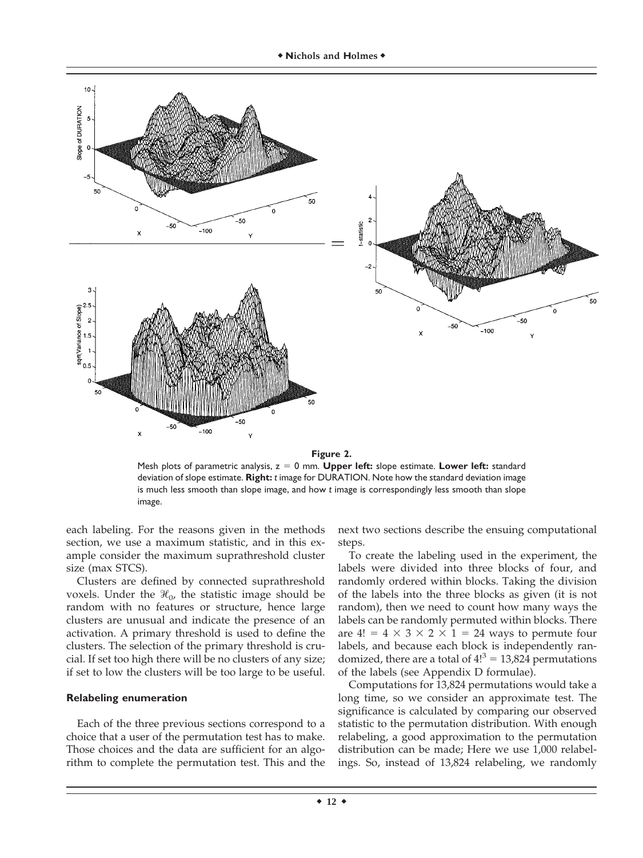

Mesh plots of parametric analysis,  $z = 0$  mm. **Upper left:** slope estimate. **Lower left:** standard deviation of slope estimate. **Right:** *t* image for DURATION. Note how the standard deviation image is much less smooth than slope image, and how *t* image is correspondingly less smooth than slope image.

each labeling. For the reasons given in the methods section, we use a maximum statistic, and in this example consider the maximum suprathreshold cluster size (max STCS).

Clusters are defined by connected suprathreshold voxels. Under the  $\mathcal{H}_0$ , the statistic image should be random with no features or structure, hence large clusters are unusual and indicate the presence of an activation. A primary threshold is used to define the clusters. The selection of the primary threshold is crucial. If set too high there will be no clusters of any size; if set to low the clusters will be too large to be useful.

#### **Relabeling enumeration**

Each of the three previous sections correspond to a choice that a user of the permutation test has to make. Those choices and the data are sufficient for an algorithm to complete the permutation test. This and the

next two sections describe the ensuing computational steps.

To create the labeling used in the experiment, the labels were divided into three blocks of four, and randomly ordered within blocks. Taking the division of the labels into the three blocks as given (it is not random), then we need to count how many ways the labels can be randomly permuted within blocks. There are 4! =  $4 \times 3 \times 2 \times 1 = 24$  ways to permute four labels, and because each block is independently randomized, there are a total of  $4!^3 = 13,824$  permutations of the labels (see Appendix D formulae).

Computations for 13,824 permutations would take a long time, so we consider an approximate test. The significance is calculated by comparing our observed statistic to the permutation distribution. With enough relabeling, a good approximation to the permutation distribution can be made; Here we use 1,000 relabelings. So, instead of 13,824 relabeling, we randomly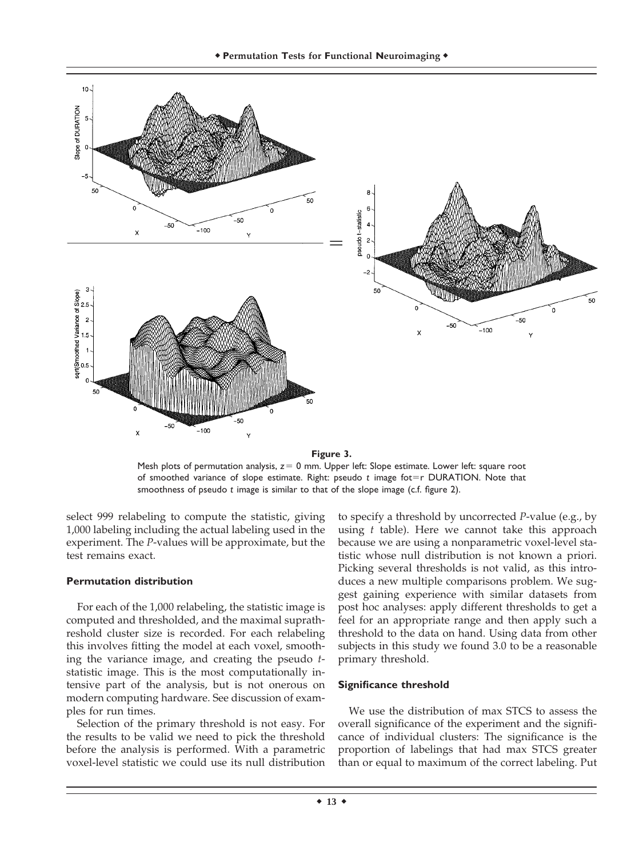

#### **Figure 3.**

Mesh plots of permutation analysis,  $z = 0$  mm. Upper left: Slope estimate. Lower left: square root of smoothed variance of slope estimate. Right: pseudo *t* image fot=r DURATION. Note that smoothness of pseudo *t* image is similar to that of the slope image (c.f. figure 2).

select 999 relabeling to compute the statistic, giving 1,000 labeling including the actual labeling used in the experiment. The *P*-values will be approximate, but the test remains exact.

#### **Permutation distribution**

For each of the 1,000 relabeling, the statistic image is computed and thresholded, and the maximal suprathreshold cluster size is recorded. For each relabeling this involves fitting the model at each voxel, smoothing the variance image, and creating the pseudo *t*statistic image. This is the most computationally intensive part of the analysis, but is not onerous on modern computing hardware. See discussion of examples for run times.

Selection of the primary threshold is not easy. For the results to be valid we need to pick the threshold before the analysis is performed. With a parametric voxel-level statistic we could use its null distribution

to specify a threshold by uncorrected *P*-value (e.g., by using *t* table). Here we cannot take this approach because we are using a nonparametric voxel-level statistic whose null distribution is not known a priori. Picking several thresholds is not valid, as this introduces a new multiple comparisons problem. We suggest gaining experience with similar datasets from post hoc analyses: apply different thresholds to get a feel for an appropriate range and then apply such a threshold to the data on hand. Using data from other subjects in this study we found 3.0 to be a reasonable primary threshold.

## **Significance threshold**

We use the distribution of max STCS to assess the overall significance of the experiment and the significance of individual clusters: The significance is the proportion of labelings that had max STCS greater than or equal to maximum of the correct labeling. Put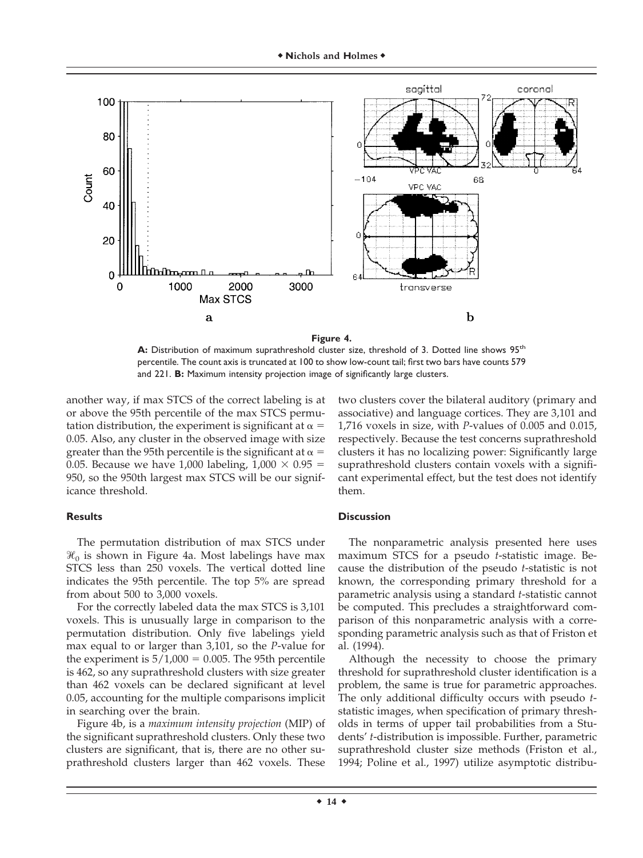

**A:** Distribution of maximum suprathreshold cluster size, threshold of 3. Dotted line shows 95<sup>th</sup> percentile. The count axis is truncated at 100 to show low-count tail; first two bars have counts 579 and 221. **B:** Maximum intensity projection image of significantly large clusters.

another way, if max STCS of the correct labeling is at or above the 95th percentile of the max STCS permutation distribution, the experiment is significant at  $\alpha =$ 0.05. Also, any cluster in the observed image with size greater than the 95th percentile is the significant at  $\alpha =$ 0.05. Because we have 1,000 labeling,  $1,000 \times 0.95 =$ 950, so the 950th largest max STCS will be our significance threshold.

## **Results**

The permutation distribution of max STCS under  $\mathcal{H}_0$  is shown in Figure 4a. Most labelings have max STCS less than 250 voxels. The vertical dotted line indicates the 95th percentile. The top 5% are spread from about 500 to 3,000 voxels.

For the correctly labeled data the max STCS is 3,101 voxels. This is unusually large in comparison to the permutation distribution. Only five labelings yield max equal to or larger than 3,101, so the *P*-value for the experiment is  $5/1,000 = 0.005$ . The 95th percentile is 462, so any suprathreshold clusters with size greater than 462 voxels can be declared significant at level 0.05, accounting for the multiple comparisons implicit in searching over the brain.

Figure 4b, is a *maximum intensity projection* (MIP) of the significant suprathreshold clusters. Only these two clusters are significant, that is, there are no other suprathreshold clusters larger than 462 voxels. These

two clusters cover the bilateral auditory (primary and associative) and language cortices. They are 3,101 and 1,716 voxels in size, with *P*-values of 0.005 and 0.015, respectively. Because the test concerns suprathreshold clusters it has no localizing power: Significantly large suprathreshold clusters contain voxels with a significant experimental effect, but the test does not identify them.

## **Discussion**

The nonparametric analysis presented here uses maximum STCS for a pseudo *t*-statistic image. Because the distribution of the pseudo *t*-statistic is not known, the corresponding primary threshold for a parametric analysis using a standard *t*-statistic cannot be computed. This precludes a straightforward comparison of this nonparametric analysis with a corresponding parametric analysis such as that of Friston et al. (1994).

Although the necessity to choose the primary threshold for suprathreshold cluster identification is a problem, the same is true for parametric approaches. The only additional difficulty occurs with pseudo *t*statistic images, when specification of primary thresholds in terms of upper tail probabilities from a Students' *t*-distribution is impossible. Further, parametric suprathreshold cluster size methods (Friston et al., 1994; Poline et al., 1997) utilize asymptotic distribu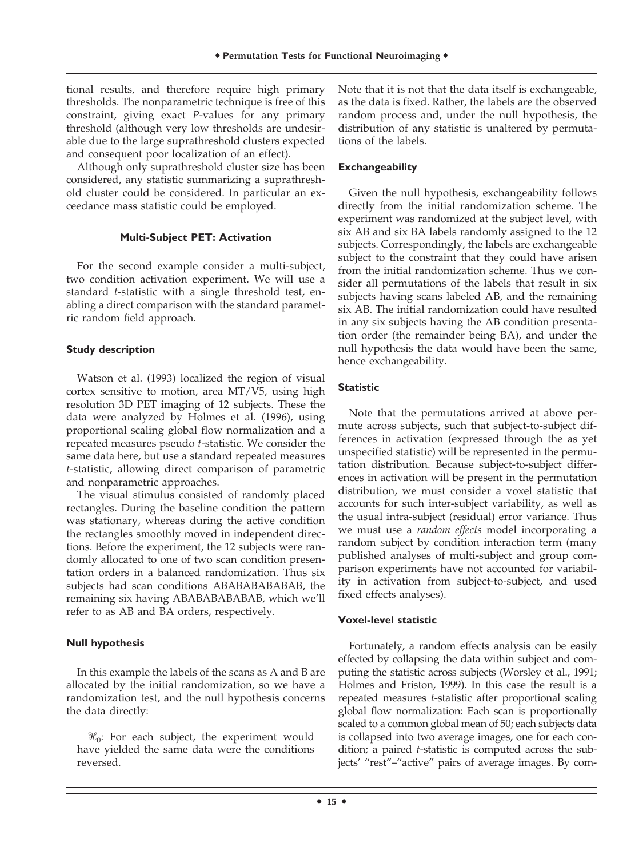tional results, and therefore require high primary thresholds. The nonparametric technique is free of this constraint, giving exact *P*-values for any primary threshold (although very low thresholds are undesirable due to the large suprathreshold clusters expected and consequent poor localization of an effect).

Although only suprathreshold cluster size has been considered, any statistic summarizing a suprathreshold cluster could be considered. In particular an exceedance mass statistic could be employed.

#### **Multi-Subject PET: Activation**

For the second example consider a multi-subject, two condition activation experiment. We will use a standard *t*-statistic with a single threshold test, enabling a direct comparison with the standard parametric random field approach.

## **Study description**

Watson et al. (1993) localized the region of visual cortex sensitive to motion, area MT/V5, using high resolution 3D PET imaging of 12 subjects. These the data were analyzed by Holmes et al. (1996), using proportional scaling global flow normalization and a repeated measures pseudo *t*-statistic. We consider the same data here, but use a standard repeated measures *t*-statistic, allowing direct comparison of parametric and nonparametric approaches.

The visual stimulus consisted of randomly placed rectangles. During the baseline condition the pattern was stationary, whereas during the active condition the rectangles smoothly moved in independent directions. Before the experiment, the 12 subjects were randomly allocated to one of two scan condition presentation orders in a balanced randomization. Thus six subjects had scan conditions ABABABABABAB, the remaining six having ABABABABABAB, which we'll refer to as AB and BA orders, respectively.

## **Null hypothesis**

In this example the labels of the scans as A and B are allocated by the initial randomization, so we have a randomization test, and the null hypothesis concerns the data directly:

 $\mathcal{H}_0$ : For each subject, the experiment would have yielded the same data were the conditions reversed.

Note that it is not that the data itself is exchangeable, as the data is fixed. Rather, the labels are the observed random process and, under the null hypothesis, the distribution of any statistic is unaltered by permutations of the labels.

## **Exchangeability**

Given the null hypothesis, exchangeability follows directly from the initial randomization scheme. The experiment was randomized at the subject level, with six AB and six BA labels randomly assigned to the 12 subjects. Correspondingly, the labels are exchangeable subject to the constraint that they could have arisen from the initial randomization scheme. Thus we consider all permutations of the labels that result in six subjects having scans labeled AB, and the remaining six AB. The initial randomization could have resulted in any six subjects having the AB condition presentation order (the remainder being BA), and under the null hypothesis the data would have been the same, hence exchangeability.

## **Statistic**

Note that the permutations arrived at above permute across subjects, such that subject-to-subject differences in activation (expressed through the as yet unspecified statistic) will be represented in the permutation distribution. Because subject-to-subject differences in activation will be present in the permutation distribution, we must consider a voxel statistic that accounts for such inter-subject variability, as well as the usual intra-subject (residual) error variance. Thus we must use a *random effects* model incorporating a random subject by condition interaction term (many published analyses of multi-subject and group comparison experiments have not accounted for variability in activation from subject-to-subject, and used fixed effects analyses).

## **Voxel-level statistic**

Fortunately, a random effects analysis can be easily effected by collapsing the data within subject and computing the statistic across subjects (Worsley et al., 1991; Holmes and Friston, 1999). In this case the result is a repeated measures *t*-statistic after proportional scaling global flow normalization: Each scan is proportionally scaled to a common global mean of 50; each subjects data is collapsed into two average images, one for each condition; a paired *t*-statistic is computed across the subjects' "rest"–"active" pairs of average images. By com-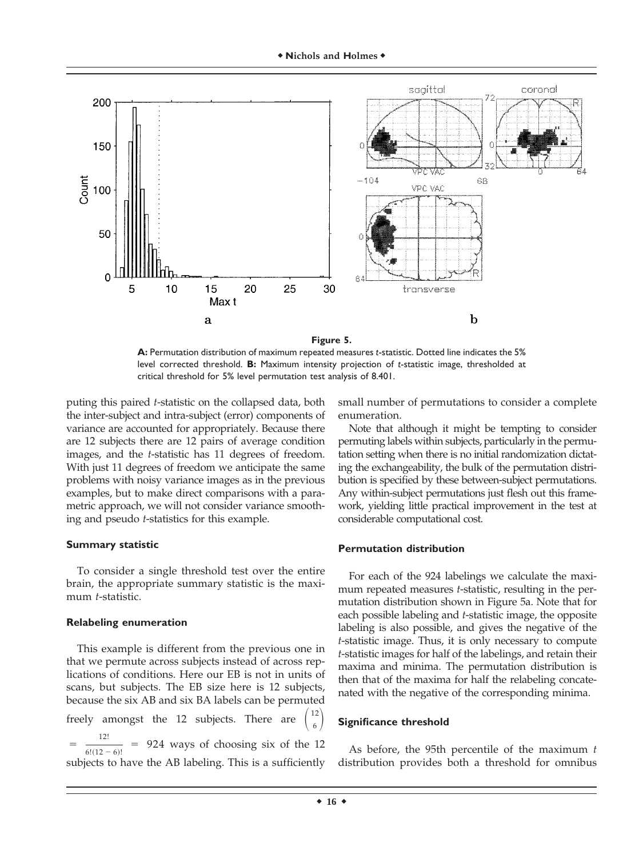

**A:** Permutation distribution of maximum repeated measures *t*-statistic. Dotted line indicates the 5% level corrected threshold. **B:** Maximum intensity projection of *t*-statistic image, thresholded at critical threshold for 5% level permutation test analysis of 8.401.

puting this paired *t*-statistic on the collapsed data, both the inter-subject and intra-subject (error) components of variance are accounted for appropriately. Because there are 12 subjects there are 12 pairs of average condition images, and the *t*-statistic has 11 degrees of freedom. With just 11 degrees of freedom we anticipate the same problems with noisy variance images as in the previous examples, but to make direct comparisons with a parametric approach, we will not consider variance smoothing and pseudo *t*-statistics for this example.

## **Summary statistic**

To consider a single threshold test over the entire brain, the appropriate summary statistic is the maximum *t*-statistic.

## **Relabeling enumeration**

This example is different from the previous one in that we permute across subjects instead of across replications of conditions. Here our EB is not in units of scans, but subjects. The EB size here is 12 subjects, because the six AB and six BA labels can be permuted freely amongst the 12 subjects. There are 12  $\binom{2}{6}$  $=\frac{12!}{6!(12-6)!}$  = 924 ways of choosing six of the 12 subjects to have the AB labeling. This is a sufficiently small number of permutations to consider a complete enumeration.

Note that although it might be tempting to consider permuting labels within subjects, particularly in the permutation setting when there is no initial randomization dictating the exchangeability, the bulk of the permutation distribution is specified by these between-subject permutations. Any within-subject permutations just flesh out this framework, yielding little practical improvement in the test at considerable computational cost.

## **Permutation distribution**

For each of the 924 labelings we calculate the maximum repeated measures *t*-statistic, resulting in the permutation distribution shown in Figure 5a. Note that for each possible labeling and *t*-statistic image, the opposite labeling is also possible, and gives the negative of the *t*-statistic image. Thus, it is only necessary to compute *t*-statistic images for half of the labelings, and retain their maxima and minima. The permutation distribution is then that of the maxima for half the relabeling concatenated with the negative of the corresponding minima.

## **Significance threshold**

As before, the 95th percentile of the maximum *t* distribution provides both a threshold for omnibus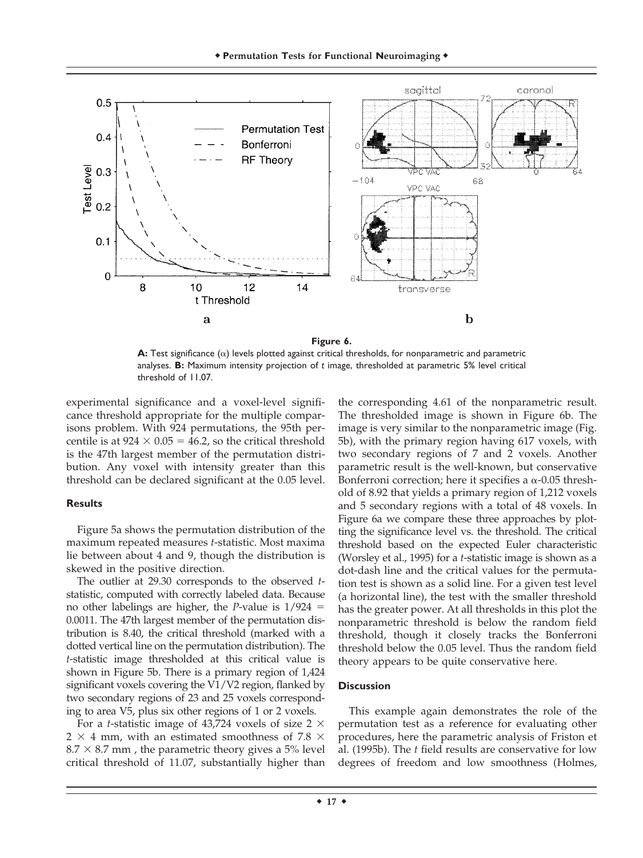

**A:** Test significance  $(\alpha)$  levels plotted against critical thresholds, for nonparametric and parametric analyses. **B:** Maximum intensity projection of *t* image, thresholded at parametric 5% level critical threshold of 11.07.

experimental significance and a voxel-level significance threshold appropriate for the multiple comparisons problem. With 924 permutations, the 95th percentile is at  $924 \times 0.05 = 46.2$ , so the critical threshold is the 47th largest member of the permutation distribution. Any voxel with intensity greater than this threshold can be declared significant at the 0.05 level.

#### **Results**

Figure 5a shows the permutation distribution of the maximum repeated measures *t*-statistic. Most maxima lie between about 4 and 9, though the distribution is skewed in the positive direction.

The outlier at 29.30 corresponds to the observed *t*statistic, computed with correctly labeled data. Because no other labelings are higher, the *P*-value is  $1/924 =$ 0.0011. The 47th largest member of the permutation distribution is 8.40, the critical threshold (marked with a dotted vertical line on the permutation distribution). The *t*-statistic image thresholded at this critical value is shown in Figure 5b. There is a primary region of 1,424 significant voxels covering the V1/V2 region, flanked by two secondary regions of 23 and 25 voxels corresponding to area V5, plus six other regions of 1 or 2 voxels.

For a *t*-statistic image of 43,724 voxels of size 2  $\times$ 2  $\times$  4 mm, with an estimated smoothness of 7.8  $\times$  $8.7 \times 8.7$  mm, the parametric theory gives a 5% level critical threshold of 11.07, substantially higher than

the corresponding 4.61 of the nonparametric result. The thresholded image is shown in Figure 6b. The image is very similar to the nonparametric image (Fig. 5b), with the primary region having 617 voxels, with two secondary regions of 7 and 2 voxels. Another parametric result is the well-known, but conservative Bonferroni correction; here it specifies a  $\alpha$ -0.05 threshold of 8.92 that yields a primary region of 1,212 voxels and 5 secondary regions with a total of 48 voxels. In Figure 6a we compare these three approaches by plotting the significance level vs. the threshold. The critical threshold based on the expected Euler characteristic (Worsley et al., 1995) for a *t*-statistic image is shown as a dot-dash line and the critical values for the permutation test is shown as a solid line. For a given test level (a horizontal line), the test with the smaller threshold has the greater power. At all thresholds in this plot the nonparametric threshold is below the random field threshold, though it closely tracks the Bonferroni threshold below the 0.05 level. Thus the random field theory appears to be quite conservative here.

#### **Discussion**

This example again demonstrates the role of the permutation test as a reference for evaluating other procedures, here the parametric analysis of Friston et al. (1995b). The *t* field results are conservative for low degrees of freedom and low smoothness (Holmes,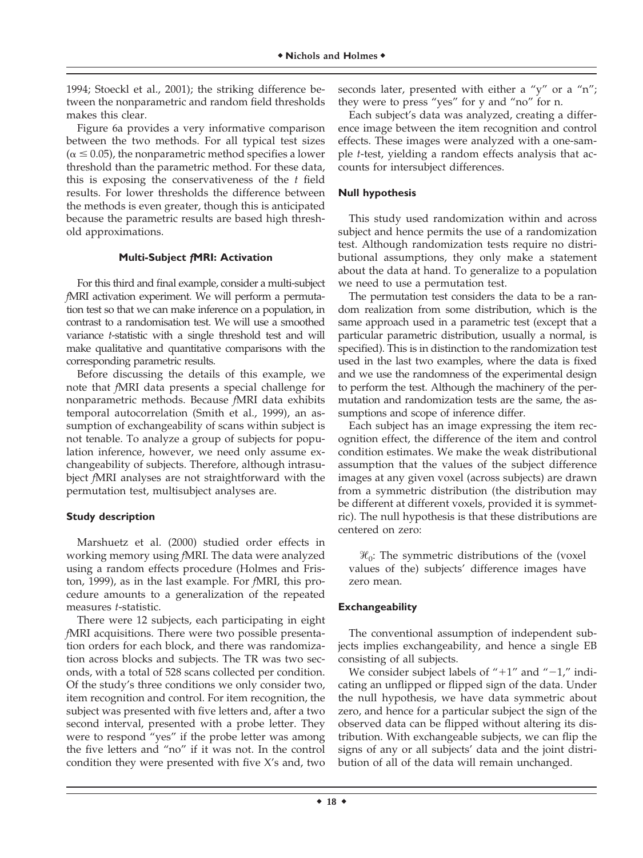1994; Stoeckl et al., 2001); the striking difference between the nonparametric and random field thresholds makes this clear.

Figure 6a provides a very informative comparison between the two methods. For all typical test sizes  $(\alpha \le 0.05)$ , the nonparametric method specifies a lower threshold than the parametric method. For these data, this is exposing the conservativeness of the *t* field results. For lower thresholds the difference between the methods is even greater, though this is anticipated because the parametric results are based high threshold approximations.

#### **Multi-Subject** *f***MRI: Activation**

For this third and final example, consider a multi-subject *f*MRI activation experiment. We will perform a permutation test so that we can make inference on a population, in contrast to a randomisation test. We will use a smoothed variance *t*-statistic with a single threshold test and will make qualitative and quantitative comparisons with the corresponding parametric results.

Before discussing the details of this example, we note that *f*MRI data presents a special challenge for nonparametric methods. Because *f*MRI data exhibits temporal autocorrelation (Smith et al., 1999), an assumption of exchangeability of scans within subject is not tenable. To analyze a group of subjects for population inference, however, we need only assume exchangeability of subjects. Therefore, although intrasubject *f*MRI analyses are not straightforward with the permutation test, multisubject analyses are.

#### **Study description**

Marshuetz et al. (2000) studied order effects in working memory using *f*MRI. The data were analyzed using a random effects procedure (Holmes and Friston, 1999), as in the last example. For *f*MRI, this procedure amounts to a generalization of the repeated measures *t*-statistic.

There were 12 subjects, each participating in eight *f*MRI acquisitions. There were two possible presentation orders for each block, and there was randomization across blocks and subjects. The TR was two seconds, with a total of 528 scans collected per condition. Of the study's three conditions we only consider two, item recognition and control. For item recognition, the subject was presented with five letters and, after a two second interval, presented with a probe letter. They were to respond "yes" if the probe letter was among the five letters and "no" if it was not. In the control condition they were presented with five X's and, two

seconds later, presented with either a "y" or a "n"; they were to press "yes" for y and "no" for n.

Each subject's data was analyzed, creating a difference image between the item recognition and control effects. These images were analyzed with a one-sample *t*-test, yielding a random effects analysis that accounts for intersubject differences.

#### **Null hypothesis**

This study used randomization within and across subject and hence permits the use of a randomization test. Although randomization tests require no distributional assumptions, they only make a statement about the data at hand. To generalize to a population we need to use a permutation test.

The permutation test considers the data to be a random realization from some distribution, which is the same approach used in a parametric test (except that a particular parametric distribution, usually a normal, is specified). This is in distinction to the randomization test used in the last two examples, where the data is fixed and we use the randomness of the experimental design to perform the test. Although the machinery of the permutation and randomization tests are the same, the assumptions and scope of inference differ.

Each subject has an image expressing the item recognition effect, the difference of the item and control condition estimates. We make the weak distributional assumption that the values of the subject difference images at any given voxel (across subjects) are drawn from a symmetric distribution (the distribution may be different at different voxels, provided it is symmetric). The null hypothesis is that these distributions are centered on zero:

 $\mathcal{H}_0$ : The symmetric distributions of the (voxel values of the) subjects' difference images have zero mean.

## **Exchangeability**

The conventional assumption of independent subjects implies exchangeability, and hence a single EB consisting of all subjects.

We consider subject labels of "+1" and " $-1$ ," indicating an unflipped or flipped sign of the data. Under the null hypothesis, we have data symmetric about zero, and hence for a particular subject the sign of the observed data can be flipped without altering its distribution. With exchangeable subjects, we can flip the signs of any or all subjects' data and the joint distribution of all of the data will remain unchanged.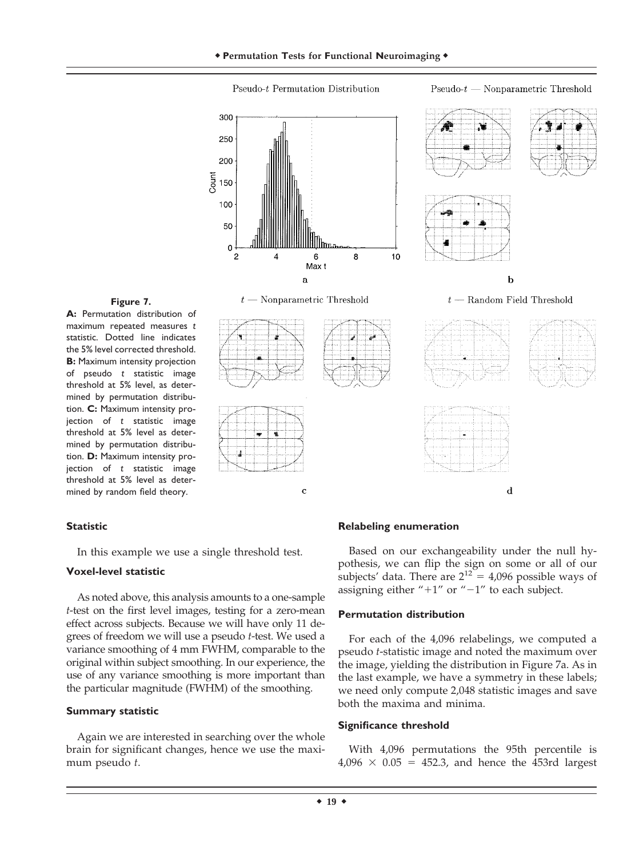#### Pseudo-t Permutation Distribution

#### $Pseudo-t$  Nonparametric Threshold



#### $t$  — Nonparametric Threshold

 $\mathbf c$ 





- Random Field Threshold





ŧ.

 $\overline{\mathbf{d}}$ 

## **Statistic**

In this example we use a single threshold test.

## **Voxel-level statistic**

**Figure 7. A:** Permutation distribution of maximum repeated measures *t* statistic. Dotted line indicates the 5% level corrected threshold. **B:** Maximum intensity projection of pseudo *t* statistic image threshold at 5% level, as determined by permutation distribution. **C:** Maximum intensity projection of *t* statistic image threshold at 5% level as determined by permutation distribution. **D:** Maximum intensity projection of *t* statistic image threshold at 5% level as determined by random field theory.

As noted above, this analysis amounts to a one-sample *t*-test on the first level images, testing for a zero-mean effect across subjects. Because we will have only 11 degrees of freedom we will use a pseudo *t*-test. We used a variance smoothing of 4 mm FWHM, comparable to the original within subject smoothing. In our experience, the use of any variance smoothing is more important than the particular magnitude (FWHM) of the smoothing.

#### **Summary statistic**

Again we are interested in searching over the whole brain for significant changes, hence we use the maximum pseudo *t*.

#### **Relabeling enumeration**

Based on our exchangeability under the null hypothesis, we can flip the sign on some or all of our subjects' data. There are  $2^{12} = 4,096$  possible ways of assigning either "+1" or " $-1$ " to each subject.

#### **Permutation distribution**

For each of the 4,096 relabelings, we computed a pseudo *t*-statistic image and noted the maximum over the image, yielding the distribution in Figure 7a. As in the last example, we have a symmetry in these labels; we need only compute 2,048 statistic images and save both the maxima and minima.

#### **Significance threshold**

With 4,096 permutations the 95th percentile is  $4,096 \times 0.05 = 452.3$ , and hence the 453rd largest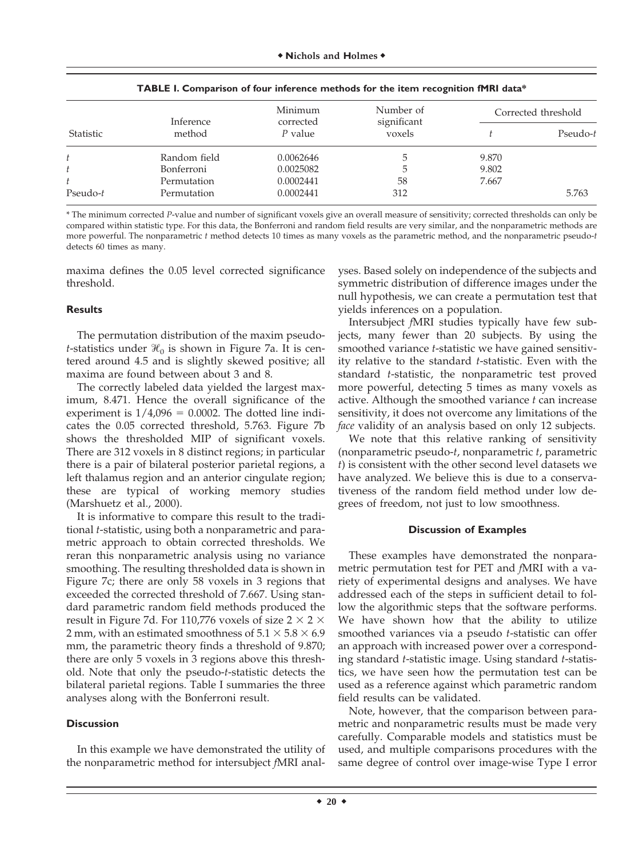| Statistic |                     | Minimum                | Number of<br>significant<br>voxels | Corrected threshold |          |
|-----------|---------------------|------------------------|------------------------------------|---------------------|----------|
|           | Inference<br>method | corrected<br>$P$ value |                                    |                     | Pseudo-t |
|           | Random field        | 0.0062646              |                                    | 9.870               |          |
|           | Bonferroni          | 0.0025082              |                                    | 9.802               |          |
|           | Permutation         | 0.0002441              | 58                                 | 7.667               |          |
| Pseudo-t  | Permutation         | 0.0002441              | 312                                |                     | 5.763    |

**TABLE I. Comparison of four inference methods for the item recognition fMRI data\***

\* The minimum corrected *P*-value and number of significant voxels give an overall measure of sensitivity; corrected thresholds can only be compared within statistic type. For this data, the Bonferroni and random field results are very similar, and the nonparametric methods are more powerful. The nonparametric *t* method detects 10 times as many voxels as the parametric method, and the nonparametric pseudo-*t* detects 60 times as many.

maxima defines the 0.05 level corrected significance threshold.

#### **Results**

The permutation distribution of the maxim pseudo*t*-statistics under  $\mathcal{H}_0$  is shown in Figure 7a. It is centered around 4.5 and is slightly skewed positive; all maxima are found between about 3 and 8.

The correctly labeled data yielded the largest maximum, 8.471. Hence the overall significance of the experiment is  $1/4,096 = 0.0002$ . The dotted line indicates the 0.05 corrected threshold, 5.763. Figure 7b shows the thresholded MIP of significant voxels. There are 312 voxels in 8 distinct regions; in particular there is a pair of bilateral posterior parietal regions, a left thalamus region and an anterior cingulate region; these are typical of working memory studies (Marshuetz et al., 2000).

It is informative to compare this result to the traditional *t*-statistic, using both a nonparametric and parametric approach to obtain corrected thresholds. We reran this nonparametric analysis using no variance smoothing. The resulting thresholded data is shown in Figure 7c; there are only 58 voxels in 3 regions that exceeded the corrected threshold of 7.667. Using standard parametric random field methods produced the result in Figure 7d. For 110,776 voxels of size 2  $\times$  2  $\times$ 2 mm, with an estimated smoothness of  $5.1 \times 5.8 \times 6.9$ mm, the parametric theory finds a threshold of 9.870; there are only 5 voxels in 3 regions above this threshold. Note that only the pseudo-*t*-statistic detects the bilateral parietal regions. Table I summaries the three analyses along with the Bonferroni result.

## **Discussion**

In this example we have demonstrated the utility of the nonparametric method for intersubject *f*MRI analyses. Based solely on independence of the subjects and symmetric distribution of difference images under the null hypothesis, we can create a permutation test that yields inferences on a population.

Intersubject *f*MRI studies typically have few subjects, many fewer than 20 subjects. By using the smoothed variance *t*-statistic we have gained sensitivity relative to the standard *t*-statistic. Even with the standard *t*-statistic, the nonparametric test proved more powerful, detecting 5 times as many voxels as active. Although the smoothed variance *t* can increase sensitivity, it does not overcome any limitations of the *face* validity of an analysis based on only 12 subjects.

We note that this relative ranking of sensitivity (nonparametric pseudo-*t*, nonparametric *t*, parametric *t*) is consistent with the other second level datasets we have analyzed. We believe this is due to a conservativeness of the random field method under low degrees of freedom, not just to low smoothness.

#### **Discussion of Examples**

These examples have demonstrated the nonparametric permutation test for PET and *f*MRI with a variety of experimental designs and analyses. We have addressed each of the steps in sufficient detail to follow the algorithmic steps that the software performs. We have shown how that the ability to utilize smoothed variances via a pseudo *t*-statistic can offer an approach with increased power over a corresponding standard *t*-statistic image. Using standard *t*-statistics, we have seen how the permutation test can be used as a reference against which parametric random field results can be validated.

Note, however, that the comparison between parametric and nonparametric results must be made very carefully. Comparable models and statistics must be used, and multiple comparisons procedures with the same degree of control over image-wise Type I error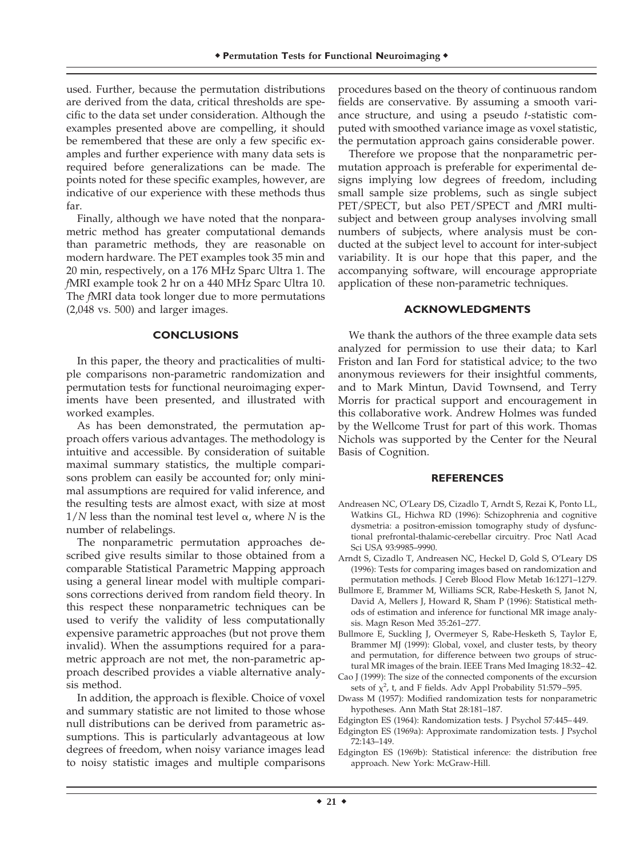used. Further, because the permutation distributions are derived from the data, critical thresholds are specific to the data set under consideration. Although the examples presented above are compelling, it should be remembered that these are only a few specific examples and further experience with many data sets is required before generalizations can be made. The points noted for these specific examples, however, are indicative of our experience with these methods thus far.

Finally, although we have noted that the nonparametric method has greater computational demands than parametric methods, they are reasonable on modern hardware. The PET examples took 35 min and 20 min, respectively, on a 176 MHz Sparc Ultra 1. The *f*MRI example took 2 hr on a 440 MHz Sparc Ultra 10. The *f*MRI data took longer due to more permutations (2,048 vs. 500) and larger images.

#### **CONCLUSIONS**

In this paper, the theory and practicalities of multiple comparisons non-parametric randomization and permutation tests for functional neuroimaging experiments have been presented, and illustrated with worked examples.

As has been demonstrated, the permutation approach offers various advantages. The methodology is intuitive and accessible. By consideration of suitable maximal summary statistics, the multiple comparisons problem can easily be accounted for; only minimal assumptions are required for valid inference, and the resulting tests are almost exact, with size at most  $1/N$  less than the nominal test level  $\alpha$ , where *N* is the number of relabelings.

The nonparametric permutation approaches described give results similar to those obtained from a comparable Statistical Parametric Mapping approach using a general linear model with multiple comparisons corrections derived from random field theory. In this respect these nonparametric techniques can be used to verify the validity of less computationally expensive parametric approaches (but not prove them invalid). When the assumptions required for a parametric approach are not met, the non-parametric approach described provides a viable alternative analysis method.

In addition, the approach is flexible. Choice of voxel and summary statistic are not limited to those whose null distributions can be derived from parametric assumptions. This is particularly advantageous at low degrees of freedom, when noisy variance images lead to noisy statistic images and multiple comparisons

procedures based on the theory of continuous random fields are conservative. By assuming a smooth variance structure, and using a pseudo *t*-statistic computed with smoothed variance image as voxel statistic, the permutation approach gains considerable power.

Therefore we propose that the nonparametric permutation approach is preferable for experimental designs implying low degrees of freedom, including small sample size problems, such as single subject PET/SPECT, but also PET/SPECT and *f*MRI multisubject and between group analyses involving small numbers of subjects, where analysis must be conducted at the subject level to account for inter-subject variability. It is our hope that this paper, and the accompanying software, will encourage appropriate application of these non-parametric techniques.

#### **ACKNOWLEDGMENTS**

We thank the authors of the three example data sets analyzed for permission to use their data; to Karl Friston and Ian Ford for statistical advice; to the two anonymous reviewers for their insightful comments, and to Mark Mintun, David Townsend, and Terry Morris for practical support and encouragement in this collaborative work. Andrew Holmes was funded by the Wellcome Trust for part of this work. Thomas Nichols was supported by the Center for the Neural Basis of Cognition.

#### **REFERENCES**

- Andreasen NC, O'Leary DS, Cizadlo T, Arndt S, Rezai K, Ponto LL, Watkins GL, Hichwa RD (1996): Schizophrenia and cognitive dysmetria: a positron-emission tomography study of dysfunctional prefrontal-thalamic-cerebellar circuitry. Proc Natl Acad Sci USA 93:9985–9990.
- Arndt S, Cizadlo T, Andreasen NC, Heckel D, Gold S, O'Leary DS (1996): Tests for comparing images based on randomization and permutation methods. J Cereb Blood Flow Metab 16:1271–1279.
- Bullmore E, Brammer M, Williams SCR, Rabe-Hesketh S, Janot N, David A, Mellers J, Howard R, Sham P (1996): Statistical methods of estimation and inference for functional MR image analysis. Magn Reson Med 35:261–277.
- Bullmore E, Suckling J, Overmeyer S, Rabe-Hesketh S, Taylor E, Brammer MJ (1999): Global, voxel, and cluster tests, by theory and permutation, for difference between two groups of structural MR images of the brain. IEEE Trans Med Imaging 18:32–42.
- Cao J (1999): The size of the connected components of the excursion sets of  $\chi^2$ , t, and F fields. Adv Appl Probability 51:579–595.
- Dwass M (1957): Modified randomization tests for nonparametric hypotheses. Ann Math Stat 28:181–187.
- Edgington ES (1964): Randomization tests. J Psychol 57:445–449.
- Edgington ES (1969a): Approximate randomization tests. J Psychol 72:143–149.
- Edgington ES (1969b): Statistical inference: the distribution free approach. New York: McGraw-Hill.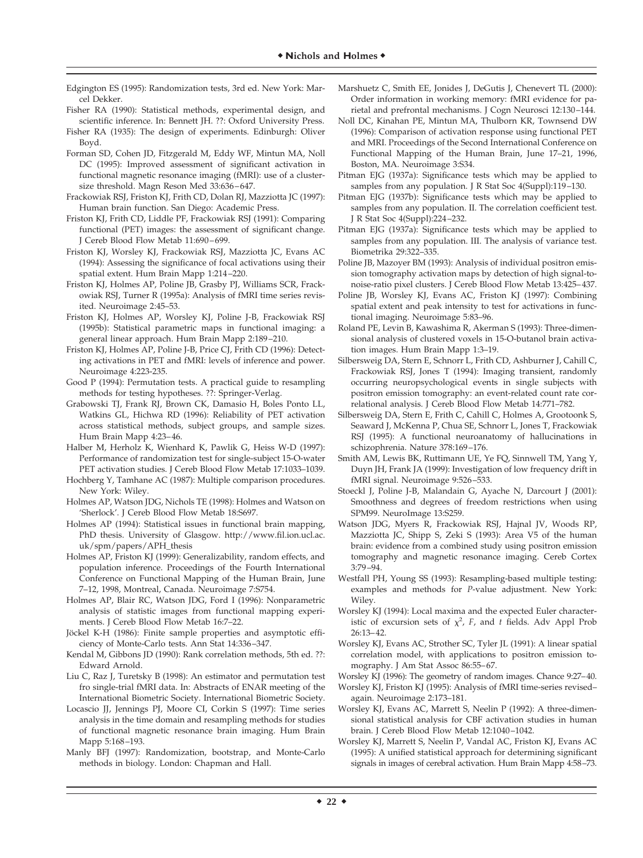- Edgington ES (1995): Randomization tests, 3rd ed. New York: Marcel Dekker.
- Fisher RA (1990): Statistical methods, experimental design, and scientific inference. In: Bennett JH. ??: Oxford University Press.
- Fisher RA (1935): The design of experiments. Edinburgh: Oliver Boyd.
- Forman SD, Cohen JD, Fitzgerald M, Eddy WF, Mintun MA, Noll DC (1995): Improved assessment of significant activation in functional magnetic resonance imaging (fMRI): use of a clustersize threshold. Magn Reson Med 33:636–647.
- Frackowiak RSJ, Friston KJ, Frith CD, Dolan RJ, Mazziotta JC (1997): Human brain function. San Diego: Academic Press.
- Friston KJ, Frith CD, Liddle PF, Frackowiak RSJ (1991): Comparing functional (PET) images: the assessment of significant change. J Cereb Blood Flow Metab 11:690–699.
- Friston KJ, Worsley KJ, Frackowiak RSJ, Mazziotta JC, Evans AC (1994): Assessing the significance of focal activations using their spatial extent. Hum Brain Mapp 1:214–220.
- Friston KJ, Holmes AP, Poline JB, Grasby PJ, Williams SCR, Frackowiak RSJ, Turner R (1995a): Analysis of fMRI time series revisited. Neuroimage 2:45–53.
- Friston KJ, Holmes AP, Worsley KJ, Poline J-B, Frackowiak RSJ (1995b): Statistical parametric maps in functional imaging: a general linear approach. Hum Brain Mapp 2:189–210.
- Friston KJ, Holmes AP, Poline J-B, Price CJ, Frith CD (1996): Detecting activations in PET and fMRI: levels of inference and power. Neuroimage 4:223-235.
- Good P (1994): Permutation tests. A practical guide to resampling methods for testing hypotheses. ??: Springer-Verlag.
- Grabowski TJ, Frank RJ, Brown CK, Damasio H, Boles Ponto LL, Watkins GL, Hichwa RD (1996): Reliability of PET activation across statistical methods, subject groups, and sample sizes. Hum Brain Mapp 4:23–46.
- Halber M, Herholz K, Wienhard K, Pawlik G, Heiss W-D (1997): Performance of randomization test for single-subject 15-O-water PET activation studies. J Cereb Blood Flow Metab 17:1033–1039.
- Hochberg Y, Tamhane AC (1987): Multiple comparison procedures. New York: Wiley.
- Holmes AP, Watson JDG, Nichols TE (1998): Holmes and Watson on 'Sherlock'. J Cereb Blood Flow Metab 18:S697.
- Holmes AP (1994): Statistical issues in functional brain mapping, PhD thesis. University of Glasgow. http://www.fil.ion.ucl.ac. uk/spm/papers/APH\_thesis
- Holmes AP, Friston KJ (1999): Generalizability, random effects, and population inference. Proceedings of the Fourth International Conference on Functional Mapping of the Human Brain, June 7–12, 1998, Montreal, Canada. Neuroimage 7:S754.
- Holmes AP, Blair RC, Watson JDG, Ford I (1996): Nonparametric analysis of statistic images from functional mapping experiments. J Cereb Blood Flow Metab 16:7–22.
- Jöckel K-H (1986): Finite sample properties and asymptotic efficiency of Monte-Carlo tests. Ann Stat 14:336–347.
- Kendal M, Gibbons JD (1990): Rank correlation methods, 5th ed. ??: Edward Arnold.
- Liu C, Raz J, Turetsky B (1998): An estimator and permutation test fro single-trial fMRI data. In: Abstracts of ENAR meeting of the International Biometric Society. International Biometric Society.
- Locascio JJ, Jennings PJ, Moore CI, Corkin S (1997): Time series analysis in the time domain and resampling methods for studies of functional magnetic resonance brain imaging. Hum Brain Mapp 5:168–193.
- Manly BFJ (1997): Randomization, bootstrap, and Monte-Carlo methods in biology. London: Chapman and Hall.
- Marshuetz C, Smith EE, Jonides J, DeGutis J, Chenevert TL (2000): Order information in working memory: fMRI evidence for parietal and prefrontal mechanisms. J Cogn Neurosci 12:130–144.
- Noll DC, Kinahan PE, Mintun MA, Thulborn KR, Townsend DW (1996): Comparison of activation response using functional PET and MRI. Proceedings of the Second International Conference on Functional Mapping of the Human Brain, June 17–21, 1996, Boston, MA. Neuroimage 3:S34.
- Pitman EJG (1937a): Significance tests which may be applied to samples from any population. J R Stat Soc 4(Suppl):119–130.
- Pitman EJG (1937b): Significance tests which may be applied to samples from any population. II. The correlation coefficient test. J R Stat Soc 4(Suppl):224–232.
- Pitman EJG (1937a): Significance tests which may be applied to samples from any population. III. The analysis of variance test. Biometrika 29:322–335.
- Poline JB, Mazoyer BM (1993): Analysis of individual positron emission tomography activation maps by detection of high signal-tonoise-ratio pixel clusters. J Cereb Blood Flow Metab 13:425–437.
- Poline JB, Worsley KJ, Evans AC, Friston KJ (1997): Combining spatial extent and peak intensity to test for activations in functional imaging. Neuroimage 5:83–96.
- Roland PE, Levin B, Kawashima R, Akerman S (1993): Three-dimensional analysis of clustered voxels in 15-O-butanol brain activation images. Hum Brain Mapp 1:3–19.
- Silbersweig DA, Stern E, Schnorr L, Frith CD, Ashburner J, Cahill C, Frackowiak RSJ, Jones T (1994): Imaging transient, randomly occurring neuropsychological events in single subjects with positron emission tomography: an event-related count rate correlational analysis. J Cereb Blood Flow Metab 14:771–782.
- Silbersweig DA, Stern E, Frith C, Cahill C, Holmes A, Grootoonk S, Seaward J, McKenna P, Chua SE, Schnorr L, Jones T, Frackowiak RSJ (1995): A functional neuroanatomy of hallucinations in schizophrenia. Nature 378:169–176.
- Smith AM, Lewis BK, Ruttimann UE, Ye FQ, Sinnwell TM, Yang Y, Duyn JH, Frank JA (1999): Investigation of low frequency drift in fMRI signal. Neuroimage 9:526–533.
- Stoeckl J, Poline J-B, Malandain G, Ayache N, Darcourt J (2001): Smoothness and degrees of freedom restrictions when using SPM99. NeuroImage 13:S259.
- Watson JDG, Myers R, Frackowiak RSJ, Hajnal JV, Woods RP, Mazziotta JC, Shipp S, Zeki S (1993): Area V5 of the human brain: evidence from a combined study using positron emission tomography and magnetic resonance imaging. Cereb Cortex 3:79–94.
- Westfall PH, Young SS (1993): Resampling-based multiple testing: examples and methods for *P*-value adjustment. New York: Wiley.
- Worsley KJ (1994): Local maxima and the expected Euler characteristic of excursion sets of  $\chi^2$ , F, and *t* fields. Adv Appl Prob 26:13–42.
- Worsley KJ, Evans AC, Strother SC, Tyler JL (1991): A linear spatial correlation model, with applications to positron emission tomography. J Am Stat Assoc 86:55–67.
- Worsley KJ (1996): The geometry of random images. Chance 9:27–40.
- Worsley KJ, Friston KJ (1995): Analysis of fMRI time-series revised– again. Neuroimage 2:173–181.
- Worsley KJ, Evans AC, Marrett S, Neelin P (1992): A three-dimensional statistical analysis for CBF activation studies in human brain. J Cereb Blood Flow Metab 12:1040–1042.
- Worsley KJ, Marrett S, Neelin P, Vandal AC, Friston KJ, Evans AC (1995): A unified statistical approach for determining significant signals in images of cerebral activation. Hum Brain Mapp 4:58–73.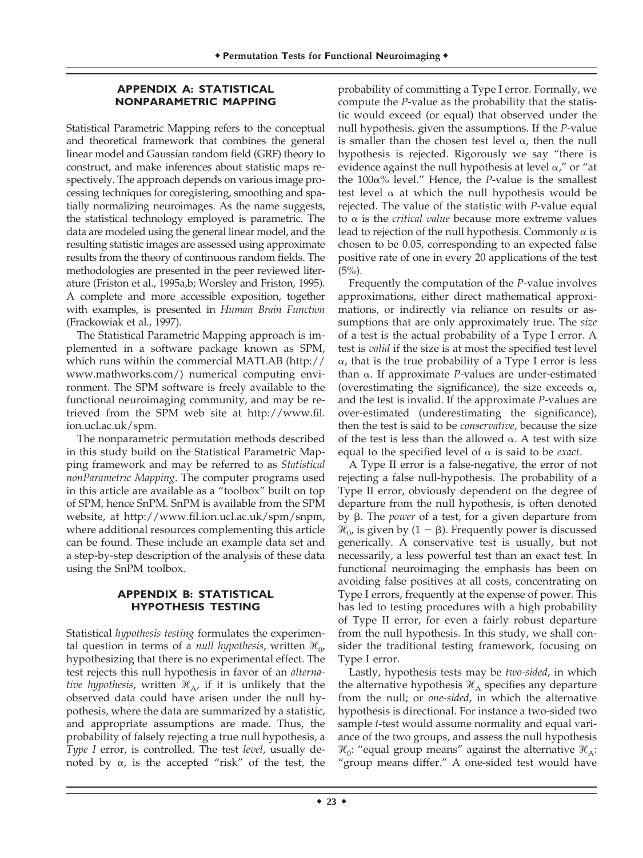## **APPENDIX A: STATISTICAL NONPARAMETRIC MAPPING**

Statistical Parametric Mapping refers to the conceptual and theoretical framework that combines the general linear model and Gaussian random field (GRF) theory to construct, and make inferences about statistic maps respectively. The approach depends on various image processing techniques for coregistering, smoothing and spatially normalizing neuroimages. As the name suggests, the statistical technology employed is parametric. The data are modeled using the general linear model, and the resulting statistic images are assessed using approximate results from the theory of continuous random fields. The methodologies are presented in the peer reviewed literature (Friston et al., 1995a,b; Worsley and Friston, 1995). A complete and more accessible exposition, together with examples, is presented in *Human Brain Function* (Frackowiak et al., 1997).

The Statistical Parametric Mapping approach is implemented in a software package known as SPM, which runs within the commercial MATLAB (http:// www.mathworks.com/) numerical computing environment. The SPM software is freely available to the functional neuroimaging community, and may be retrieved from the SPM web site at http://www.fil. ion.ucl.ac.uk/spm.

The nonparametric permutation methods described in this study build on the Statistical Parametric Mapping framework and may be referred to as *Statistical nonParametric Mapping*. The computer programs used in this article are available as a "toolbox" built on top of SPM, hence SnPM. SnPM is available from the SPM website, at http://www.fil.ion.ucl.ac.uk/spm/snpm, where additional resources complementing this article can be found. These include an example data set and a step-by-step description of the analysis of these data using the SnPM toolbox.

## **APPENDIX B: STATISTICAL HYPOTHESIS TESTING**

Statistical *hypothesis testing* formulates the experimental question in terms of a *null hypothesis*, written  $\mathcal{H}_{0}$ , hypothesizing that there is no experimental effect. The test rejects this null hypothesis in favor of an *alternative hypothesis*, written  $\mathcal{H}_A$ , if it is unlikely that the observed data could have arisen under the null hypothesis, where the data are summarized by a statistic, and appropriate assumptions are made. Thus, the probability of falsely rejecting a true null hypothesis, a *Type I* error, is controlled. The test *level*, usually denoted by  $\alpha$ , is the accepted "risk" of the test, the

probability of committing a Type I error. Formally, we compute the *P*-value as the probability that the statistic would exceed (or equal) that observed under the null hypothesis, given the assumptions. If the *P*-value is smaller than the chosen test level  $\alpha$ , then the null hypothesis is rejected. Rigorously we say "there is evidence against the null hypothesis at level  $\alpha$ ," or "at the  $100\alpha\%$  level." Hence, the *P*-value is the smallest test level  $\alpha$  at which the null hypothesis would be rejected. The value of the statistic with *P*-value equal to  $\alpha$  is the *critical value* because more extreme values lead to rejection of the null hypothesis. Commonly  $\alpha$  is chosen to be 0.05, corresponding to an expected false positive rate of one in every 20 applications of the test  $(5\%)$ .

Frequently the computation of the *P*-value involves approximations, either direct mathematical approximations, or indirectly via reliance on results or assumptions that are only approximately true. The *size* of a test is the actual probability of a Type I error. A test is *valid* if the size is at most the specified test level  $\alpha$ , that is the true probability of a Type I error is less than  $\alpha$ . If approximate *P*-values are under-estimated (overestimating the significance), the size exceeds  $\alpha$ , and the test is invalid. If the approximate *P*-values are over-estimated (underestimating the significance), then the test is said to be *conservative*, because the size of the test is less than the allowed  $\alpha$ . A test with size equal to the specified level of  $\alpha$  is said to be *exact*.

A Type II error is a false-negative, the error of not rejecting a false null-hypothesis. The probability of a Type II error, obviously dependent on the degree of departure from the null hypothesis, is often denoted by b. The *power* of a test, for a given departure from  $\mathcal{H}_0$ , is given by (1 –  $\beta$ ). Frequently power is discussed generically. A conservative test is usually, but not necessarily, a less powerful test than an exact test. In functional neuroimaging the emphasis has been on avoiding false positives at all costs, concentrating on Type I errors, frequently at the expense of power. This has led to testing procedures with a high probability of Type II error, for even a fairly robust departure from the null hypothesis. In this study, we shall consider the traditional testing framework, focusing on Type I error.

Lastly, hypothesis tests may be *two-sided*, in which the alternative hypothesis  $\mathcal{H}_A$  specifies any departure from the null; or *one-sided*, in which the alternative hypothesis is directional. For instance a two-sided two sample *t*-test would assume normality and equal variance of the two groups, and assess the null hypothesis  $\mathcal{H}_0$ : "equal group means" against the alternative  $\mathcal{H}_A$ : "group means differ." A one-sided test would have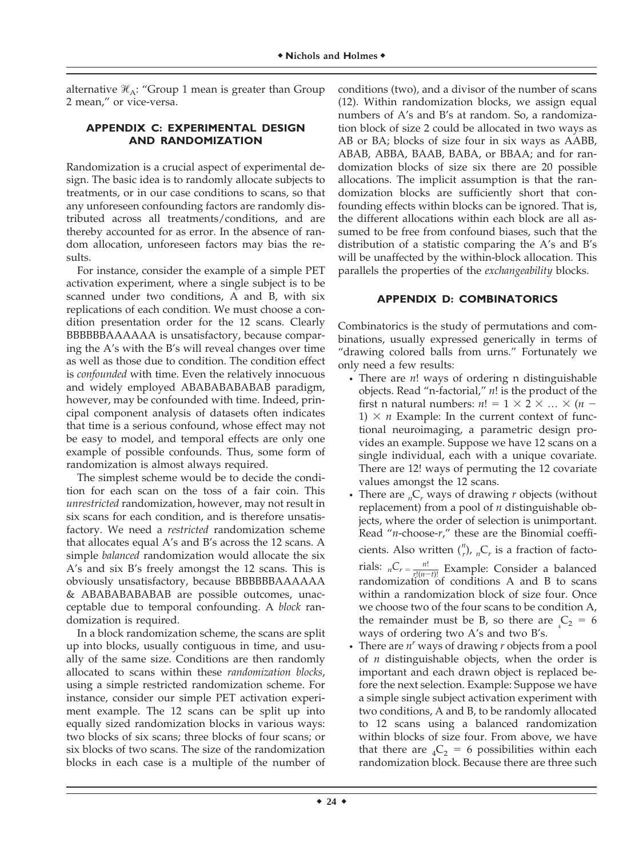alternative  $\mathcal{H}_A$ : "Group 1 mean is greater than Group 2 mean," or vice-versa.

## **APPENDIX C: EXPERIMENTAL DESIGN AND RANDOMIZATION**

Randomization is a crucial aspect of experimental design. The basic idea is to randomly allocate subjects to treatments, or in our case conditions to scans, so that any unforeseen confounding factors are randomly distributed across all treatments/conditions, and are thereby accounted for as error. In the absence of random allocation, unforeseen factors may bias the results.

For instance, consider the example of a simple PET activation experiment, where a single subject is to be scanned under two conditions, A and B, with six replications of each condition. We must choose a condition presentation order for the 12 scans. Clearly BBBBBBAAAAAA is unsatisfactory, because comparing the A's with the B's will reveal changes over time as well as those due to condition. The condition effect is *confounded* with time. Even the relatively innocuous and widely employed ABABABABABAB paradigm, however, may be confounded with time. Indeed, principal component analysis of datasets often indicates that time is a serious confound, whose effect may not be easy to model, and temporal effects are only one example of possible confounds. Thus, some form of randomization is almost always required.

The simplest scheme would be to decide the condition for each scan on the toss of a fair coin. This *unrestricted* randomization, however, may not result in six scans for each condition, and is therefore unsatisfactory. We need a *restricted* randomization scheme that allocates equal A's and B's across the 12 scans. A simple *balanced* randomization would allocate the six A's and six B's freely amongst the 12 scans. This is obviously unsatisfactory, because BBBBBBAAAAAA & ABABABABABAB are possible outcomes, unacceptable due to temporal confounding. A *block* randomization is required.

In a block randomization scheme, the scans are split up into blocks, usually contiguous in time, and usually of the same size. Conditions are then randomly allocated to scans within these *randomization blocks*, using a simple restricted randomization scheme. For instance, consider our simple PET activation experiment example. The 12 scans can be split up into equally sized randomization blocks in various ways: two blocks of six scans; three blocks of four scans; or six blocks of two scans. The size of the randomization blocks in each case is a multiple of the number of

conditions (two), and a divisor of the number of scans (12). Within randomization blocks, we assign equal numbers of A's and B's at random. So, a randomization block of size 2 could be allocated in two ways as AB or BA; blocks of size four in six ways as AABB, ABAB, ABBA, BAAB, BABA, or BBAA; and for randomization blocks of size six there are 20 possible allocations. The implicit assumption is that the randomization blocks are sufficiently short that confounding effects within blocks can be ignored. That is, the different allocations within each block are all assumed to be free from confound biases, such that the distribution of a statistic comparing the A's and B's will be unaffected by the within-block allocation. This parallels the properties of the *exchangeability* blocks.

## **APPENDIX D: COMBINATORICS**

Combinatorics is the study of permutations and combinations, usually expressed generically in terms of "drawing colored balls from urns." Fortunately we only need a few results:

- There are *n*! ways of ordering n distinguishable objects. Read "n-factorial," *n*! is the product of the first n natural numbers:  $n! = 1 \times 2 \times ... \times (n - 1)$ 1)  $\times$  *n* Example: In the current context of functional neuroimaging, a parametric design provides an example. Suppose we have 12 scans on a single individual, each with a unique covariate. There are 12! ways of permuting the 12 covariate values amongst the 12 scans.
- There are  ${}_{n}C_{r}$  ways of drawing  $r$  objects (without replacement) from a pool of *n* distinguishable objects, where the order of selection is unimportant. Read "*n*-choose-*r*," these are the Binomial coefficients. Also written  $\binom{n}{r}$ ,  $\binom{n}{r}$  is a fraction of factorials:  $nC_r = \frac{n!}{r!(n-t)!}$  Example: Consider a balanced randomization of conditions A and B to scans within a randomization block of size four. Once we choose two of the four scans to be condition A, the remainder must be B, so there are  $\binom{C_2}{ } = 6$ ways of ordering two A's and two B's.
- There are *n<sup>r</sup>* ways of drawing *r* objects from a pool of *n* distinguishable objects, when the order is important and each drawn object is replaced before the next selection. Example: Suppose we have a simple single subject activation experiment with two conditions, A and B, to be randomly allocated to 12 scans using a balanced randomization within blocks of size four. From above, we have that there are  ${}_{4}C_{2}$  = 6 possibilities within each randomization block. Because there are three such